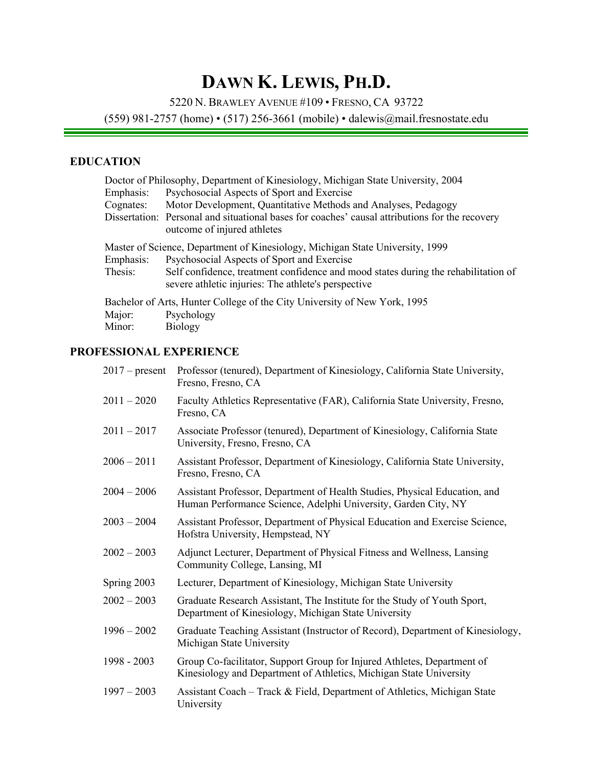# **DAWN K. LEWIS, PH.D.**

5220 N. BRAWLEY AVENUE #109 • FRESNO, CA 93722

(559) 981-2757 (home) • (517) 256-3661 (mobile) • dalewis@mail.fresnostate.edu

# **EDUCATION**

|           | Doctor of Philosophy, Department of Kinesiology, Michigan State University, 2004                                                          |
|-----------|-------------------------------------------------------------------------------------------------------------------------------------------|
| Emphasis: | Psychosocial Aspects of Sport and Exercise                                                                                                |
| Cognates: | Motor Development, Quantitative Methods and Analyses, Pedagogy                                                                            |
|           | Dissertation: Personal and situational bases for coaches' causal attributions for the recovery<br>outcome of injured athletes             |
|           | Master of Science, Department of Kinesiology, Michigan State University, 1999                                                             |
| Emphasis: | Psychosocial Aspects of Sport and Exercise                                                                                                |
| Thesis:   | Self confidence, treatment confidence and mood states during the rehabilitation of<br>severe athletic injuries: The athlete's perspective |
|           | Bachelor of Arts, Hunter College of the City University of New York, 1995                                                                 |
| Major:    | Psychology                                                                                                                                |
| Minor:    | Biology                                                                                                                                   |

# **PROFESSIONAL EXPERIENCE**

| $2017$ – present | Professor (tenured), Department of Kinesiology, California State University,<br>Fresno, Fresno, CA                                            |
|------------------|-----------------------------------------------------------------------------------------------------------------------------------------------|
| $2011 - 2020$    | Faculty Athletics Representative (FAR), California State University, Fresno,<br>Fresno, CA                                                    |
| $2011 - 2017$    | Associate Professor (tenured), Department of Kinesiology, California State<br>University, Fresno, Fresno, CA                                  |
| $2006 - 2011$    | Assistant Professor, Department of Kinesiology, California State University,<br>Fresno, Fresno, CA                                            |
| $2004 - 2006$    | Assistant Professor, Department of Health Studies, Physical Education, and<br>Human Performance Science, Adelphi University, Garden City, NY  |
| $2003 - 2004$    | Assistant Professor, Department of Physical Education and Exercise Science,<br>Hofstra University, Hempstead, NY                              |
| $2002 - 2003$    | Adjunct Lecturer, Department of Physical Fitness and Wellness, Lansing<br>Community College, Lansing, MI                                      |
| Spring 2003      | Lecturer, Department of Kinesiology, Michigan State University                                                                                |
| $2002 - 2003$    | Graduate Research Assistant, The Institute for the Study of Youth Sport,<br>Department of Kinesiology, Michigan State University              |
| $1996 - 2002$    | Graduate Teaching Assistant (Instructor of Record), Department of Kinesiology,<br>Michigan State University                                   |
| 1998 - 2003      | Group Co-facilitator, Support Group for Injured Athletes, Department of<br>Kinesiology and Department of Athletics, Michigan State University |
| $1997 - 2003$    | Assistant Coach – Track & Field, Department of Athletics, Michigan State<br>University                                                        |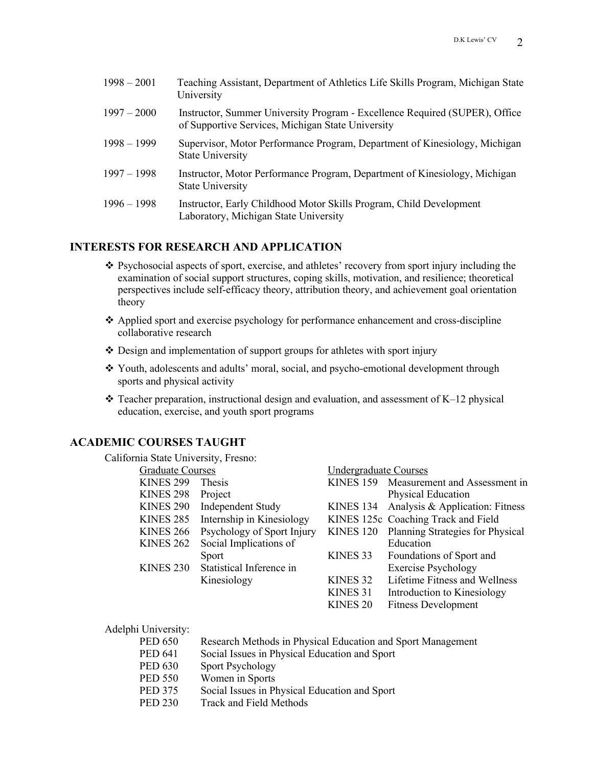| $1998 - 2001$ | Teaching Assistant, Department of Athletics Life Skills Program, Michigan State<br>University                                    |
|---------------|----------------------------------------------------------------------------------------------------------------------------------|
| $1997 - 2000$ | Instructor, Summer University Program - Excellence Required (SUPER), Office<br>of Supportive Services, Michigan State University |
| $1998 - 1999$ | Supervisor, Motor Performance Program, Department of Kinesiology, Michigan<br><b>State University</b>                            |
| $1997 - 1998$ | Instructor, Motor Performance Program, Department of Kinesiology, Michigan<br><b>State University</b>                            |
| $1996 - 1998$ | Instructor, Early Childhood Motor Skills Program, Child Development<br>Laboratory, Michigan State University                     |

### **INTERESTS FOR RESEARCH AND APPLICATION**

- \* Psychosocial aspects of sport, exercise, and athletes' recovery from sport injury including the examination of social support structures, coping skills, motivation, and resilience; theoretical perspectives include self-efficacy theory, attribution theory, and achievement goal orientation theory
- $\triangle$  Applied sport and exercise psychology for performance enhancement and cross-discipline collaborative research
- $\triangle$  Design and implementation of support groups for athletes with sport injury
- \* Youth, adolescents and adults' moral, social, and psycho-emotional development through sports and physical activity
- $\cdot$  Teacher preparation, instructional design and evaluation, and assessment of K–12 physical education, exercise, and youth sport programs

## **ACADEMIC COURSES TAUGHT**

California State University, Fresno:

| <b>Graduate Courses</b> |                            | <b>Undergraduate Courses</b> |                                         |
|-------------------------|----------------------------|------------------------------|-----------------------------------------|
| <b>KINES 299</b>        | <b>Thesis</b>              |                              | KINES 159 Measurement and Assessment in |
| <b>KINES 298</b>        | Project                    |                              | Physical Education                      |
| KINES <sub>290</sub>    | Independent Study          | KINES 134                    | Analysis & Application: Fitness         |
| KINES <sub>285</sub>    | Internship in Kinesiology  |                              | KINES 125c Coaching Track and Field     |
| <b>KINES 266</b>        | Psychology of Sport Injury | <b>KINES 120</b>             | Planning Strategies for Physical        |
| KINES <sub>262</sub>    | Social Implications of     |                              | Education                               |
|                         | Sport                      | KINES <sub>33</sub>          | Foundations of Sport and                |
| <b>KINES 230</b>        | Statistical Inference in   |                              | <b>Exercise Psychology</b>              |
|                         | Kinesiology                | KINES <sub>32</sub>          | Lifetime Fitness and Wellness           |
|                         |                            | KINES <sub>31</sub>          | Introduction to Kinesiology             |
|                         |                            | KINES <sub>20</sub>          | <b>Fitness Development</b>              |
|                         |                            |                              |                                         |

| Adelphi University: |  |  |  |
|---------------------|--|--|--|
|---------------------|--|--|--|

- PED 650 Research Methods in Physical Education and Sport Management
- PED 641 Social Issues in Physical Education and Sport
- PED 630 Sport Psychology
- PED 550 Women in Sports
- PED 375 Social Issues in Physical Education and Sport
- PED 230 Track and Field Methods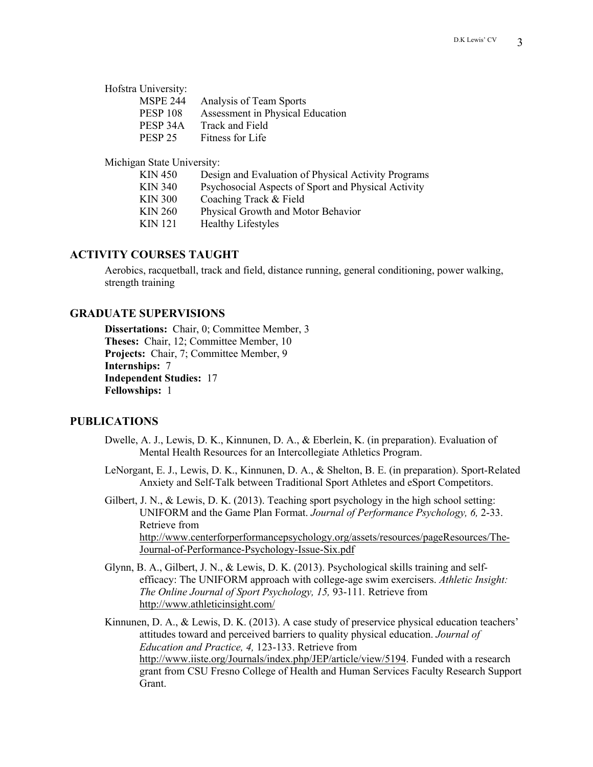| Hofstra University: |                                  |
|---------------------|----------------------------------|
| <b>MSPE 244</b>     | Analysis of Team Sports          |
| <b>PESP 108</b>     | Assessment in Physical Education |
| PESP 34A            | Track and Field                  |
| PESP <sub>25</sub>  | Fitness for Life                 |

Michigan State University:

| KIN 450        | Design and Evaluation of Physical Activity Programs |
|----------------|-----------------------------------------------------|
|                |                                                     |
| <b>KIN 340</b> | Psychosocial Aspects of Sport and Physical Activity |
| <b>KIN 300</b> | Coaching Track & Field                              |
| KIN 260        | Physical Growth and Motor Behavior                  |
| KIN 121        | <b>Healthy Lifestyles</b>                           |
|                |                                                     |

### **ACTIVITY COURSES TAUGHT**

Aerobics, racquetball, track and field, distance running, general conditioning, power walking, strength training

### **GRADUATE SUPERVISIONS**

**Dissertations:** Chair, 0; Committee Member, 3 **Theses:** Chair, 12; Committee Member, 10 **Projects:** Chair, 7; Committee Member, 9 **Internships:** 7 **Independent Studies:** 17 **Fellowships:** 1

### **PUBLICATIONS**

- Dwelle, A. J., Lewis, D. K., Kinnunen, D. A., & Eberlein, K. (in preparation). Evaluation of Mental Health Resources for an Intercollegiate Athletics Program.
- LeNorgant, E. J., Lewis, D. K., Kinnunen, D. A., & Shelton, B. E. (in preparation). Sport-Related Anxiety and Self-Talk between Traditional Sport Athletes and eSport Competitors.
- Gilbert, J. N., & Lewis, D. K. (2013). Teaching sport psychology in the high school setting: UNIFORM and the Game Plan Format. *Journal of Performance Psychology, 6,* 2-33. Retrieve from http://www.centerforperformancepsychology.org/assets/resources/pageResources/The-Journal-of-Performance-Psychology-Issue-Six.pdf
- Glynn, B. A., Gilbert, J. N., & Lewis, D. K. (2013). Psychological skills training and selfefficacy: The UNIFORM approach with college-age swim exercisers. *Athletic Insight: The Online Journal of Sport Psychology, 15,* 93-111*.* Retrieve from http://www.athleticinsight.com/
- Kinnunen, D. A., & Lewis, D. K. (2013). A case study of preservice physical education teachers' attitudes toward and perceived barriers to quality physical education. *Journal of Education and Practice, 4,* 123-133. Retrieve from http://www.iiste.org/Journals/index.php/JEP/article/view/5194. Funded with a research grant from CSU Fresno College of Health and Human Services Faculty Research Support Grant.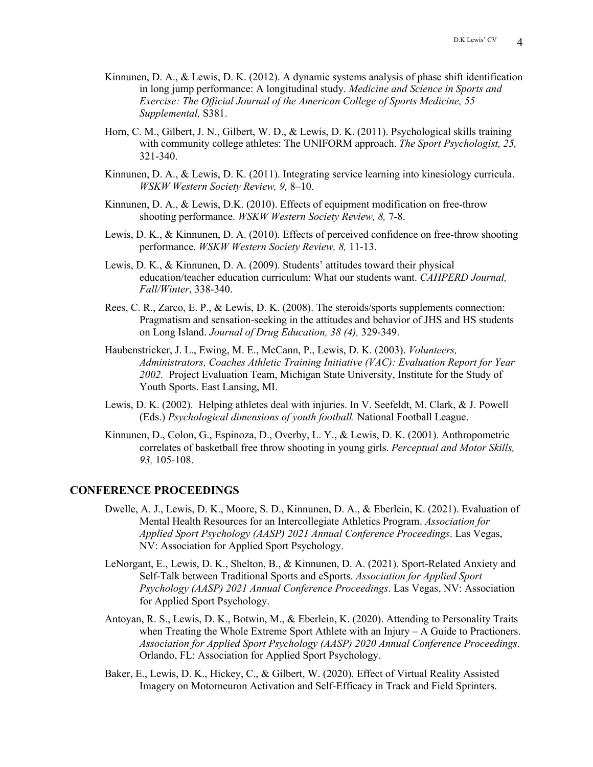- Kinnunen, D. A., & Lewis, D. K. (2012). A dynamic systems analysis of phase shift identification in long jump performance: A longitudinal study. *Medicine and Science in Sports and Exercise: The Official Journal of the American College of Sports Medicine, 55 Supplemental,* S381.
- Horn, C. M., Gilbert, J. N., Gilbert, W. D., & Lewis, D. K. (2011). Psychological skills training with community college athletes: The UNIFORM approach. *The Sport Psychologist, 25,* 321-340.
- Kinnunen, D. A., & Lewis, D. K. (2011). Integrating service learning into kinesiology curricula. *WSKW Western Society Review, 9,* 8–10.
- Kinnunen, D. A., & Lewis, D.K. (2010). Effects of equipment modification on free-throw shooting performance. *WSKW Western Society Review, 8,* 7-8.
- Lewis, D. K., & Kinnunen, D. A. (2010). Effects of perceived confidence on free-throw shooting performance. *WSKW Western Society Review, 8,* 11-13.
- Lewis, D. K., & Kinnunen, D. A. (2009). Students' attitudes toward their physical education/teacher education curriculum: What our students want. *CAHPERD Journal, Fall/Winter*, 338-340.
- Rees, C. R., Zarco, E. P., & Lewis, D. K. (2008). The steroids/sports supplements connection: Pragmatism and sensation-seeking in the attitudes and behavior of JHS and HS students on Long Island. *Journal of Drug Education, 38 (4),* 329-349.
- Haubenstricker, J. L., Ewing, M. E., McCann, P., Lewis, D. K. (2003). *Volunteers, Administrators, Coaches Athletic Training Initiative (VAC): Evaluation Report for Year 2002.* Project Evaluation Team, Michigan State University, Institute for the Study of Youth Sports. East Lansing, MI.
- Lewis, D. K. (2002). Helping athletes deal with injuries. In V. Seefeldt, M. Clark, & J. Powell (Eds.) *Psychological dimensions of youth football.* National Football League.
- Kinnunen, D., Colon, G., Espinoza, D., Overby, L. Y., & Lewis, D. K. (2001). Anthropometric correlates of basketball free throw shooting in young girls. *Perceptual and Motor Skills, 93,* 105-108.

#### **CONFERENCE PROCEEDINGS**

- Dwelle, A. J., Lewis, D. K., Moore, S. D., Kinnunen, D. A., & Eberlein, K. (2021). Evaluation of Mental Health Resources for an Intercollegiate Athletics Program. *Association for Applied Sport Psychology (AASP) 2021 Annual Conference Proceedings*. Las Vegas, NV: Association for Applied Sport Psychology.
- LeNorgant, E., Lewis, D. K., Shelton, B., & Kinnunen, D. A. (2021). Sport-Related Anxiety and Self-Talk between Traditional Sports and eSports. *Association for Applied Sport Psychology (AASP) 2021 Annual Conference Proceedings*. Las Vegas, NV: Association for Applied Sport Psychology.
- Antoyan, R. S., Lewis, D. K., Botwin, M., & Eberlein, K. (2020). Attending to Personality Traits when Treating the Whole Extreme Sport Athlete with an  $Injury - A$  Guide to Practioners. *Association for Applied Sport Psychology (AASP) 2020 Annual Conference Proceedings*. Orlando, FL: Association for Applied Sport Psychology.
- Baker, E., Lewis, D. K., Hickey, C., & Gilbert, W. (2020). Effect of Virtual Reality Assisted Imagery on Motorneuron Activation and Self-Efficacy in Track and Field Sprinters.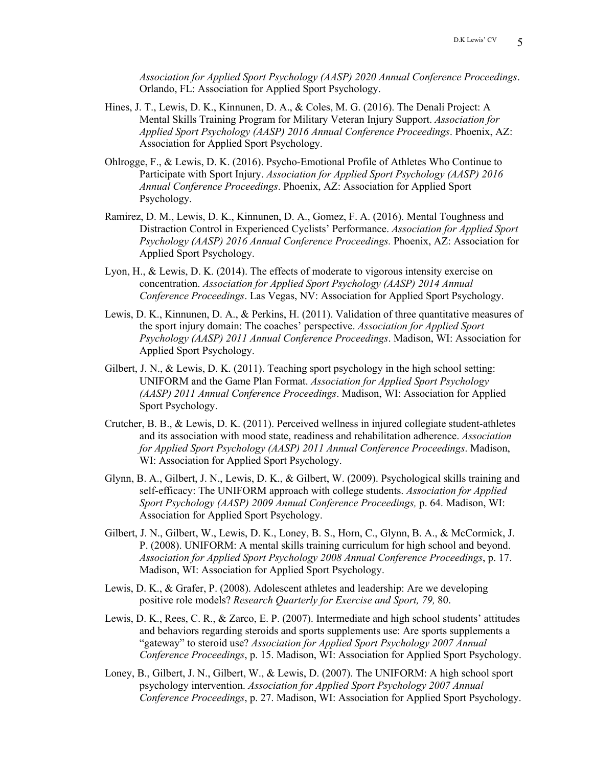*Association for Applied Sport Psychology (AASP) 2020 Annual Conference Proceedings*. Orlando, FL: Association for Applied Sport Psychology.

- Hines, J. T., Lewis, D. K., Kinnunen, D. A., & Coles, M. G. (2016). The Denali Project: A Mental Skills Training Program for Military Veteran Injury Support. *Association for Applied Sport Psychology (AASP) 2016 Annual Conference Proceedings*. Phoenix, AZ: Association for Applied Sport Psychology.
- Ohlrogge, F., & Lewis, D. K. (2016). Psycho-Emotional Profile of Athletes Who Continue to Participate with Sport Injury. *Association for Applied Sport Psychology (AASP) 2016 Annual Conference Proceedings*. Phoenix, AZ: Association for Applied Sport Psychology.
- Ramirez, D. M., Lewis, D. K., Kinnunen, D. A., Gomez, F. A. (2016). Mental Toughness and Distraction Control in Experienced Cyclists' Performance. *Association for Applied Sport Psychology (AASP) 2016 Annual Conference Proceedings.* Phoenix, AZ: Association for Applied Sport Psychology.
- Lyon, H., & Lewis, D. K. (2014). The effects of moderate to vigorous intensity exercise on concentration. *Association for Applied Sport Psychology (AASP) 2014 Annual Conference Proceedings*. Las Vegas, NV: Association for Applied Sport Psychology.
- Lewis, D. K., Kinnunen, D. A., & Perkins, H. (2011). Validation of three quantitative measures of the sport injury domain: The coaches' perspective. *Association for Applied Sport Psychology (AASP) 2011 Annual Conference Proceedings*. Madison, WI: Association for Applied Sport Psychology.
- Gilbert, J. N., & Lewis, D. K. (2011). Teaching sport psychology in the high school setting: UNIFORM and the Game Plan Format. *Association for Applied Sport Psychology (AASP) 2011 Annual Conference Proceedings*. Madison, WI: Association for Applied Sport Psychology.
- Crutcher, B. B., & Lewis, D. K. (2011). Perceived wellness in injured collegiate student-athletes and its association with mood state, readiness and rehabilitation adherence. *Association for Applied Sport Psychology (AASP) 2011 Annual Conference Proceedings*. Madison, WI: Association for Applied Sport Psychology.
- Glynn, B. A., Gilbert, J. N., Lewis, D. K., & Gilbert, W. (2009). Psychological skills training and self-efficacy: The UNIFORM approach with college students. *Association for Applied Sport Psychology (AASP) 2009 Annual Conference Proceedings,* p. 64. Madison, WI: Association for Applied Sport Psychology.
- Gilbert, J. N., Gilbert, W., Lewis, D. K., Loney, B. S., Horn, C., Glynn, B. A., & McCormick, J. P. (2008). UNIFORM: A mental skills training curriculum for high school and beyond. *Association for Applied Sport Psychology 2008 Annual Conference Proceedings*, p. 17. Madison, WI: Association for Applied Sport Psychology.
- Lewis, D. K., & Grafer, P. (2008). Adolescent athletes and leadership: Are we developing positive role models? *Research Quarterly for Exercise and Sport, 79,* 80.
- Lewis, D. K., Rees, C. R., & Zarco, E. P. (2007). Intermediate and high school students' attitudes and behaviors regarding steroids and sports supplements use: Are sports supplements a "gateway" to steroid use? *Association for Applied Sport Psychology 2007 Annual Conference Proceedings*, p. 15. Madison, WI: Association for Applied Sport Psychology.
- Loney, B., Gilbert, J. N., Gilbert, W., & Lewis, D. (2007). The UNIFORM: A high school sport psychology intervention. *Association for Applied Sport Psychology 2007 Annual Conference Proceedings*, p. 27. Madison, WI: Association for Applied Sport Psychology.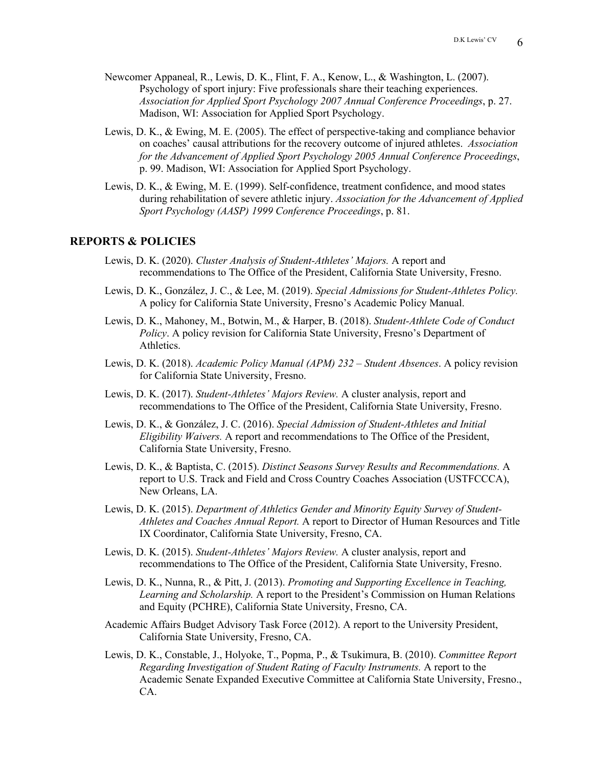- Newcomer Appaneal, R., Lewis, D. K., Flint, F. A., Kenow, L., & Washington, L. (2007). Psychology of sport injury: Five professionals share their teaching experiences. *Association for Applied Sport Psychology 2007 Annual Conference Proceedings*, p. 27. Madison, WI: Association for Applied Sport Psychology.
- Lewis, D. K., & Ewing, M. E. (2005). The effect of perspective-taking and compliance behavior on coaches' causal attributions for the recovery outcome of injured athletes. *Association for the Advancement of Applied Sport Psychology 2005 Annual Conference Proceedings*, p. 99. Madison, WI: Association for Applied Sport Psychology.
- Lewis, D. K., & Ewing, M. E. (1999). Self-confidence, treatment confidence, and mood states during rehabilitation of severe athletic injury. *Association for the Advancement of Applied Sport Psychology (AASP) 1999 Conference Proceedings*, p. 81.

### **REPORTS & POLICIES**

- Lewis, D. K. (2020). *Cluster Analysis of Student-Athletes' Majors.* A report and recommendations to The Office of the President, California State University, Fresno.
- Lewis, D. K., González, J. C., & Lee, M. (2019). *Special Admissions for Student-Athletes Policy.* A policy for California State University, Fresno's Academic Policy Manual.
- Lewis, D. K., Mahoney, M., Botwin, M., & Harper, B. (2018). *Student-Athlete Code of Conduct Policy*. A policy revision for California State University, Fresno's Department of Athletics.
- Lewis, D. K. (2018). *Academic Policy Manual (APM) 232 – Student Absences*. A policy revision for California State University, Fresno.
- Lewis, D. K. (2017). *Student-Athletes' Majors Review.* A cluster analysis, report and recommendations to The Office of the President, California State University, Fresno.
- Lewis, D. K., & González, J. C. (2016). *Special Admission of Student-Athletes and Initial Eligibility Waivers.* A report and recommendations to The Office of the President, California State University, Fresno.
- Lewis, D. K., & Baptista, C. (2015). *Distinct Seasons Survey Results and Recommendations.* A report to U.S. Track and Field and Cross Country Coaches Association (USTFCCCA), New Orleans, LA.
- Lewis, D. K. (2015). *Department of Athletics Gender and Minority Equity Survey of Student-Athletes and Coaches Annual Report.* A report to Director of Human Resources and Title IX Coordinator, California State University, Fresno, CA.
- Lewis, D. K. (2015). *Student-Athletes' Majors Review.* A cluster analysis, report and recommendations to The Office of the President, California State University, Fresno.
- Lewis, D. K., Nunna, R., & Pitt, J. (2013). *Promoting and Supporting Excellence in Teaching, Learning and Scholarship.* A report to the President's Commission on Human Relations and Equity (PCHRE), California State University, Fresno, CA.
- Academic Affairs Budget Advisory Task Force (2012). A report to the University President, California State University, Fresno, CA.
- Lewis, D. K., Constable, J., Holyoke, T., Popma, P., & Tsukimura, B. (2010). *Committee Report Regarding Investigation of Student Rating of Faculty Instruments.* A report to the Academic Senate Expanded Executive Committee at California State University, Fresno., CA.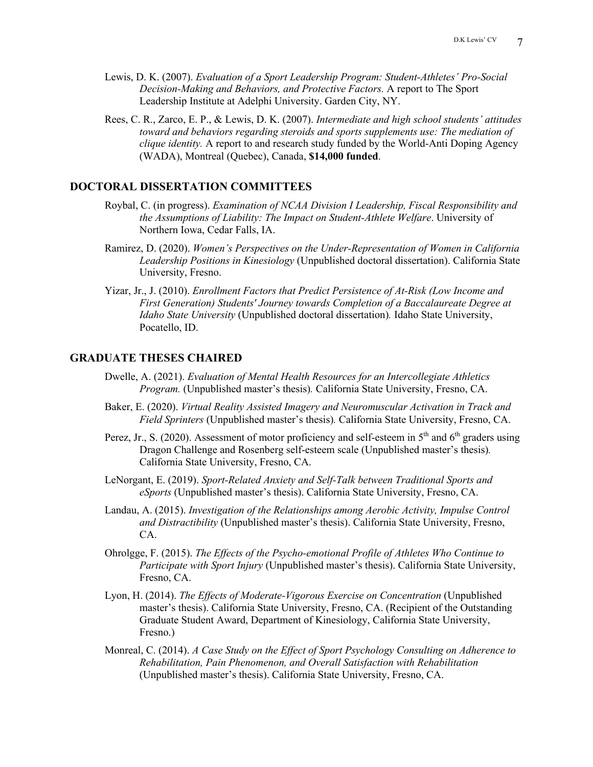- Lewis, D. K. (2007). *Evaluation of a Sport Leadership Program: Student-Athletes' Pro-Social Decision-Making and Behaviors, and Protective Factors.* A report to The Sport Leadership Institute at Adelphi University. Garden City, NY.
- Rees, C. R., Zarco, E. P., & Lewis, D. K. (2007). *Intermediate and high school students' attitudes toward and behaviors regarding steroids and sports supplements use: The mediation of clique identity.* A report to and research study funded by the World-Anti Doping Agency (WADA), Montreal (Quebec), Canada, **\$14,000 funded**.

### **DOCTORAL DISSERTATION COMMITTEES**

- Roybal, C. (in progress). *Examination of NCAA Division I Leadership, Fiscal Responsibility and the Assumptions of Liability: The Impact on Student-Athlete Welfare*. University of Northern Iowa, Cedar Falls, IA.
- Ramirez, D. (2020). *Women's Perspectives on the Under-Representation of Women in California Leadership Positions in Kinesiology* (Unpublished doctoral dissertation). California State University, Fresno.
- Yizar, Jr., J. (2010). *Enrollment Factors that Predict Persistence of At-Risk (Low Income and First Generation) Students' Journey towards Completion of a Baccalaureate Degree at Idaho State University* (Unpublished doctoral dissertation)*.* Idaho State University, Pocatello, ID.

### **GRADUATE THESES CHAIRED**

- Dwelle, A. (2021). *Evaluation of Mental Health Resources for an Intercollegiate Athletics Program.* (Unpublished master's thesis)*.* California State University, Fresno, CA.
- Baker, E. (2020). *Virtual Reality Assisted Imagery and Neuromuscular Activation in Track and Field Sprinters* (Unpublished master's thesis)*.* California State University, Fresno, CA.
- Perez, Jr., S. (2020). Assessment of motor proficiency and self-esteem in  $5<sup>th</sup>$  and  $6<sup>th</sup>$  graders using Dragon Challenge and Rosenberg self-esteem scale (Unpublished master's thesis)*.* California State University, Fresno, CA.
- LeNorgant, E. (2019). *Sport-Related Anxiety and Self-Talk between Traditional Sports and eSports* (Unpublished master's thesis). California State University, Fresno, CA.
- Landau, A. (2015). *Investigation of the Relationships among Aerobic Activity, Impulse Control and Distractibility* (Unpublished master's thesis). California State University, Fresno, CA.
- Ohrolgge, F. (2015). *The Effects of the Psycho-emotional Profile of Athletes Who Continue to Participate with Sport Injury* (Unpublished master's thesis). California State University, Fresno, CA.
- Lyon, H. (2014). *The Effects of Moderate-Vigorous Exercise on Concentration* (Unpublished master's thesis). California State University, Fresno, CA. (Recipient of the Outstanding Graduate Student Award, Department of Kinesiology, California State University, Fresno.)
- Monreal, C. (2014). *A Case Study on the Effect of Sport Psychology Consulting on Adherence to Rehabilitation, Pain Phenomenon, and Overall Satisfaction with Rehabilitation*  (Unpublished master's thesis). California State University, Fresno, CA.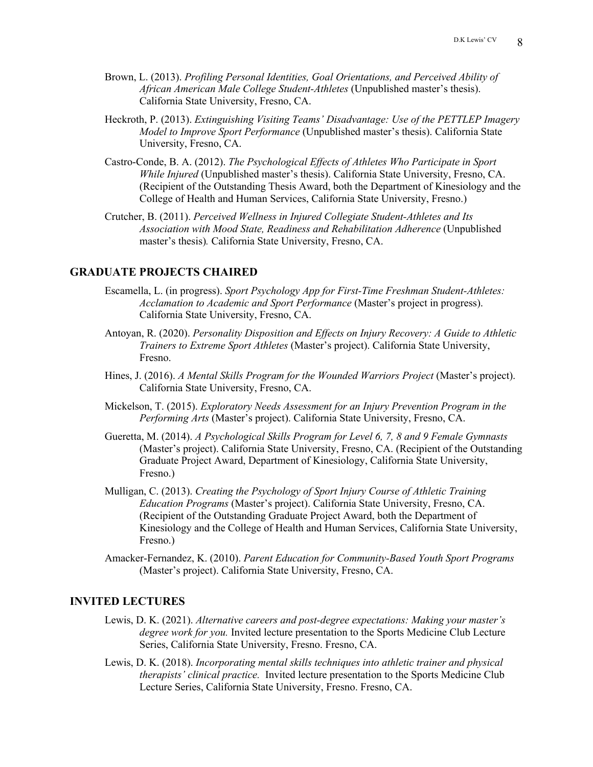- Brown, L. (2013). *Profiling Personal Identities, Goal Orientations, and Perceived Ability of African American Male College Student-Athletes* (Unpublished master's thesis). California State University, Fresno, CA.
- Heckroth, P. (2013). *Extinguishing Visiting Teams' Disadvantage: Use of the PETTLEP Imagery Model to Improve Sport Performance* (Unpublished master's thesis). California State University, Fresno, CA.
- Castro-Conde, B. A. (2012). *The Psychological Effects of Athletes Who Participate in Sport While Injured* (Unpublished master's thesis). California State University, Fresno, CA. (Recipient of the Outstanding Thesis Award, both the Department of Kinesiology and the College of Health and Human Services, California State University, Fresno.)
- Crutcher, B. (2011). *Perceived Wellness in Injured Collegiate Student-Athletes and Its Association with Mood State, Readiness and Rehabilitation Adherence* (Unpublished master's thesis)*.* California State University, Fresno, CA.

### **GRADUATE PROJECTS CHAIRED**

- Escamella, L. (in progress). *Sport Psychology App for First-Time Freshman Student-Athletes: Acclamation to Academic and Sport Performance* (Master's project in progress). California State University, Fresno, CA.
- Antoyan, R. (2020). *Personality Disposition and Effects on Injury Recovery: A Guide to Athletic Trainers to Extreme Sport Athletes* (Master's project). California State University, Fresno.
- Hines, J. (2016). *A Mental Skills Program for the Wounded Warriors Project* (Master's project). California State University, Fresno, CA.
- Mickelson, T. (2015). *Exploratory Needs Assessment for an Injury Prevention Program in the Performing Arts* (Master's project). California State University, Fresno, CA.
- Gueretta, M. (2014). *A Psychological Skills Program for Level 6, 7, 8 and 9 Female Gymnasts* (Master's project). California State University, Fresno, CA. (Recipient of the Outstanding Graduate Project Award, Department of Kinesiology, California State University, Fresno.)
- Mulligan, C. (2013). *Creating the Psychology of Sport Injury Course of Athletic Training Education Programs* (Master's project). California State University, Fresno, CA. (Recipient of the Outstanding Graduate Project Award, both the Department of Kinesiology and the College of Health and Human Services, California State University, Fresno.)
- Amacker-Fernandez, K. (2010). *Parent Education for Community-Based Youth Sport Programs* (Master's project). California State University, Fresno, CA.

### **INVITED LECTURES**

- Lewis, D. K. (2021). *Alternative careers and post-degree expectations: Making your master's degree work for you.* Invited lecture presentation to the Sports Medicine Club Lecture Series, California State University, Fresno. Fresno, CA.
- Lewis, D. K. (2018). *Incorporating mental skills techniques into athletic trainer and physical therapists' clinical practice.* Invited lecture presentation to the Sports Medicine Club Lecture Series, California State University, Fresno. Fresno, CA.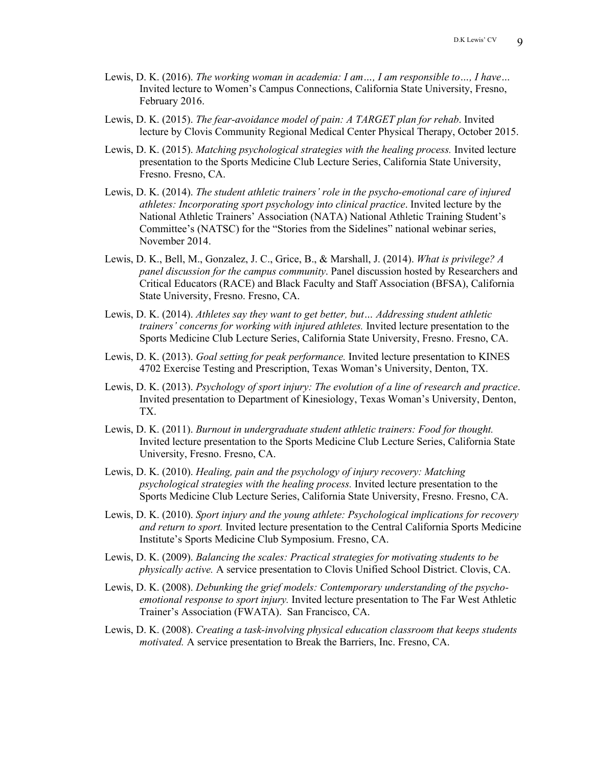- Lewis, D. K. (2016). *The working woman in academia: I am…, I am responsible to…, I have…* Invited lecture to Women's Campus Connections, California State University, Fresno, February 2016.
- Lewis, D. K. (2015). *The fear-avoidance model of pain: A TARGET plan for rehab*. Invited lecture by Clovis Community Regional Medical Center Physical Therapy, October 2015.
- Lewis, D. K. (2015). *Matching psychological strategies with the healing process.* Invited lecture presentation to the Sports Medicine Club Lecture Series, California State University, Fresno. Fresno, CA.
- Lewis, D. K. (2014). *The student athletic trainers' role in the psycho-emotional care of injured athletes: Incorporating sport psychology into clinical practice*. Invited lecture by the National Athletic Trainers' Association (NATA) National Athletic Training Student's Committee's (NATSC) for the "Stories from the Sidelines" national webinar series, November 2014.
- Lewis, D. K., Bell, M., Gonzalez, J. C., Grice, B., & Marshall, J. (2014). *What is privilege? A panel discussion for the campus community*. Panel discussion hosted by Researchers and Critical Educators (RACE) and Black Faculty and Staff Association (BFSA), California State University, Fresno. Fresno, CA.
- Lewis, D. K. (2014). *Athletes say they want to get better, but… Addressing student athletic trainers' concerns for working with injured athletes.* Invited lecture presentation to the Sports Medicine Club Lecture Series, California State University, Fresno. Fresno, CA.
- Lewis, D. K. (2013). *Goal setting for peak performance.* Invited lecture presentation to KINES 4702 Exercise Testing and Prescription, Texas Woman's University, Denton, TX.
- Lewis, D. K. (2013). *Psychology of sport injury: The evolution of a line of research and practice*. Invited presentation to Department of Kinesiology, Texas Woman's University, Denton, TX.
- Lewis, D. K. (2011). *Burnout in undergraduate student athletic trainers: Food for thought.* Invited lecture presentation to the Sports Medicine Club Lecture Series, California State University, Fresno. Fresno, CA.
- Lewis, D. K. (2010). *Healing, pain and the psychology of injury recovery: Matching psychological strategies with the healing process.* Invited lecture presentation to the Sports Medicine Club Lecture Series, California State University, Fresno. Fresno, CA.
- Lewis, D. K. (2010). *Sport injury and the young athlete: Psychological implications for recovery and return to sport.* Invited lecture presentation to the Central California Sports Medicine Institute's Sports Medicine Club Symposium. Fresno, CA.
- Lewis, D. K. (2009). *Balancing the scales: Practical strategies for motivating students to be physically active.* A service presentation to Clovis Unified School District. Clovis, CA.
- Lewis, D. K. (2008). *Debunking the grief models: Contemporary understanding of the psychoemotional response to sport injury.* Invited lecture presentation to The Far West Athletic Trainer's Association (FWATA). San Francisco, CA.
- Lewis, D. K. (2008). *Creating a task-involving physical education classroom that keeps students motivated.* A service presentation to Break the Barriers, Inc. Fresno, CA.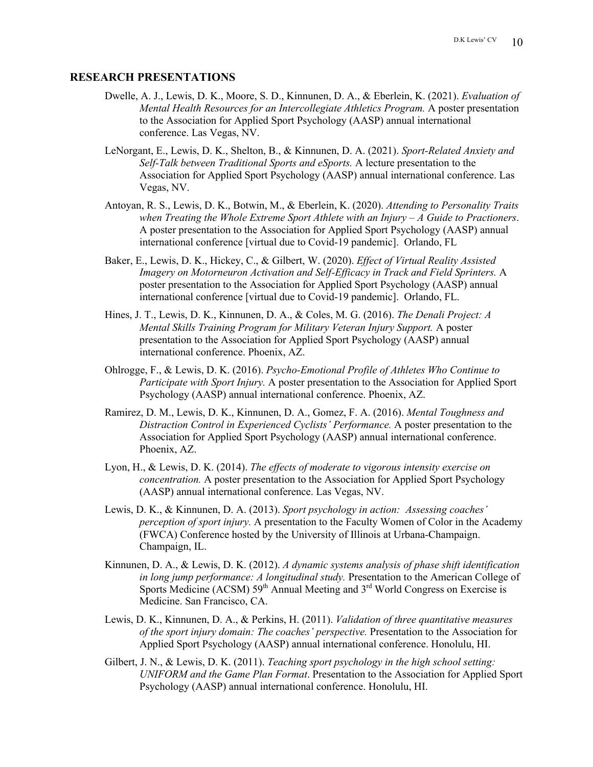#### **RESEARCH PRESENTATIONS**

- Dwelle, A. J., Lewis, D. K., Moore, S. D., Kinnunen, D. A., & Eberlein, K. (2021). *Evaluation of Mental Health Resources for an Intercollegiate Athletics Program.* A poster presentation to the Association for Applied Sport Psychology (AASP) annual international conference. Las Vegas, NV.
- LeNorgant, E., Lewis, D. K., Shelton, B., & Kinnunen, D. A. (2021). *Sport-Related Anxiety and Self-Talk between Traditional Sports and eSports.* A lecture presentation to the Association for Applied Sport Psychology (AASP) annual international conference. Las Vegas, NV.
- Antoyan, R. S., Lewis, D. K., Botwin, M., & Eberlein, K. (2020). *Attending to Personality Traits when Treating the Whole Extreme Sport Athlete with an Injury – A Guide to Practioners*. A poster presentation to the Association for Applied Sport Psychology (AASP) annual international conference [virtual due to Covid-19 pandemic]. Orlando, FL
- Baker, E., Lewis, D. K., Hickey, C., & Gilbert, W. (2020). *Effect of Virtual Reality Assisted Imagery on Motorneuron Activation and Self-Efficacy in Track and Field Sprinters.* A poster presentation to the Association for Applied Sport Psychology (AASP) annual international conference [virtual due to Covid-19 pandemic]. Orlando, FL.
- Hines, J. T., Lewis, D. K., Kinnunen, D. A., & Coles, M. G. (2016). *The Denali Project: A Mental Skills Training Program for Military Veteran Injury Support.* A poster presentation to the Association for Applied Sport Psychology (AASP) annual international conference. Phoenix, AZ.
- Ohlrogge, F., & Lewis, D. K. (2016). *Psycho-Emotional Profile of Athletes Who Continue to Participate with Sport Injury.* A poster presentation to the Association for Applied Sport Psychology (AASP) annual international conference. Phoenix, AZ.
- Ramirez, D. M., Lewis, D. K., Kinnunen, D. A., Gomez, F. A. (2016). *Mental Toughness and Distraction Control in Experienced Cyclists' Performance.* A poster presentation to the Association for Applied Sport Psychology (AASP) annual international conference. Phoenix, AZ.
- Lyon, H., & Lewis, D. K. (2014). *The effects of moderate to vigorous intensity exercise on concentration.* A poster presentation to the Association for Applied Sport Psychology (AASP) annual international conference. Las Vegas, NV.
- Lewis, D. K., & Kinnunen, D. A. (2013). *Sport psychology in action: Assessing coaches' perception of sport injury.* A presentation to the Faculty Women of Color in the Academy (FWCA) Conference hosted by the University of Illinois at Urbana-Champaign. Champaign, IL.
- Kinnunen, D. A., & Lewis, D. K. (2012). *A dynamic systems analysis of phase shift identification in long jump performance: A longitudinal study.* Presentation to the American College of Sports Medicine (ACSM)  $59<sup>th</sup>$  Annual Meeting and  $3<sup>rd</sup>$  World Congress on Exercise is Medicine. San Francisco, CA.
- Lewis, D. K., Kinnunen, D. A., & Perkins, H. (2011). *Validation of three quantitative measures of the sport injury domain: The coaches' perspective.* Presentation to the Association for Applied Sport Psychology (AASP) annual international conference. Honolulu, HI.
- Gilbert, J. N., & Lewis, D. K. (2011). *Teaching sport psychology in the high school setting: UNIFORM and the Game Plan Format*. Presentation to the Association for Applied Sport Psychology (AASP) annual international conference. Honolulu, HI.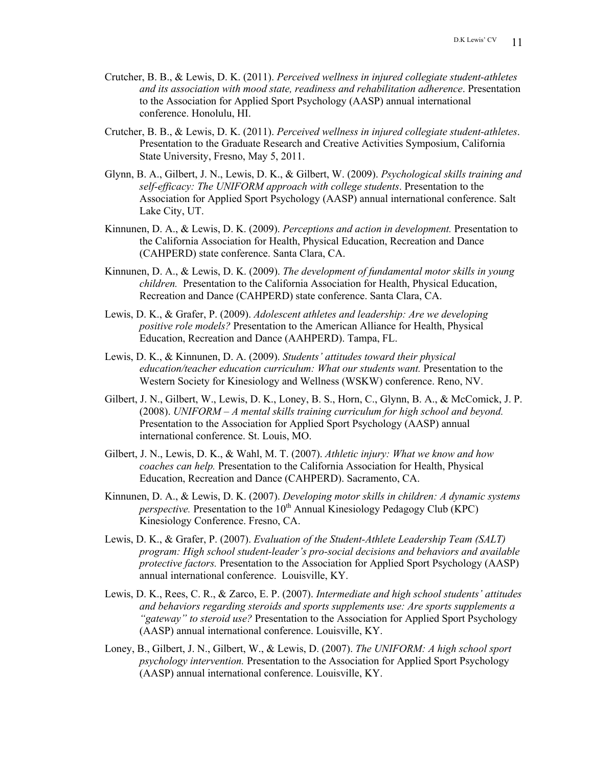- Crutcher, B. B., & Lewis, D. K. (2011). *Perceived wellness in injured collegiate student-athletes and its association with mood state, readiness and rehabilitation adherence*. Presentation to the Association for Applied Sport Psychology (AASP) annual international conference. Honolulu, HI.
- Crutcher, B. B., & Lewis, D. K. (2011). *Perceived wellness in injured collegiate student-athletes*. Presentation to the Graduate Research and Creative Activities Symposium, California State University, Fresno, May 5, 2011.
- Glynn, B. A., Gilbert, J. N., Lewis, D. K., & Gilbert, W. (2009). *Psychological skills training and self-efficacy: The UNIFORM approach with college students*. Presentation to the Association for Applied Sport Psychology (AASP) annual international conference. Salt Lake City, UT.
- Kinnunen, D. A., & Lewis, D. K. (2009). *Perceptions and action in development.* Presentation to the California Association for Health, Physical Education, Recreation and Dance (CAHPERD) state conference. Santa Clara, CA.
- Kinnunen, D. A., & Lewis, D. K. (2009). *The development of fundamental motor skills in young children.* Presentation to the California Association for Health, Physical Education, Recreation and Dance (CAHPERD) state conference. Santa Clara, CA.
- Lewis, D. K., & Grafer, P. (2009). *Adolescent athletes and leadership: Are we developing positive role models?* Presentation to the American Alliance for Health, Physical Education, Recreation and Dance (AAHPERD). Tampa, FL.
- Lewis, D. K., & Kinnunen, D. A. (2009). *Students' attitudes toward their physical education/teacher education curriculum: What our students want.* Presentation to the Western Society for Kinesiology and Wellness (WSKW) conference. Reno, NV.
- Gilbert, J. N., Gilbert, W., Lewis, D. K., Loney, B. S., Horn, C., Glynn, B. A., & McComick, J. P. (2008). *UNIFORM – A mental skills training curriculum for high school and beyond.* Presentation to the Association for Applied Sport Psychology (AASP) annual international conference. St. Louis, MO.
- Gilbert, J. N., Lewis, D. K., & Wahl, M. T. (2007). *Athletic injury: What we know and how coaches can help.* Presentation to the California Association for Health, Physical Education, Recreation and Dance (CAHPERD). Sacramento, CA.
- Kinnunen, D. A., & Lewis, D. K. (2007). *Developing motor skills in children: A dynamic systems perspective.* Presentation to the  $10<sup>th</sup>$  Annual Kinesiology Pedagogy Club (KPC) Kinesiology Conference. Fresno, CA.
- Lewis, D. K., & Grafer, P. (2007). *Evaluation of the Student-Athlete Leadership Team (SALT) program: High school student-leader's pro-social decisions and behaviors and available protective factors.* Presentation to the Association for Applied Sport Psychology (AASP) annual international conference. Louisville, KY.
- Lewis, D. K., Rees, C. R., & Zarco, E. P. (2007). *Intermediate and high school students' attitudes and behaviors regarding steroids and sports supplements use: Are sports supplements a "gateway" to steroid use?* Presentation to the Association for Applied Sport Psychology (AASP) annual international conference. Louisville, KY.
- Loney, B., Gilbert, J. N., Gilbert, W., & Lewis, D. (2007). *The UNIFORM: A high school sport psychology intervention.* Presentation to the Association for Applied Sport Psychology (AASP) annual international conference. Louisville, KY.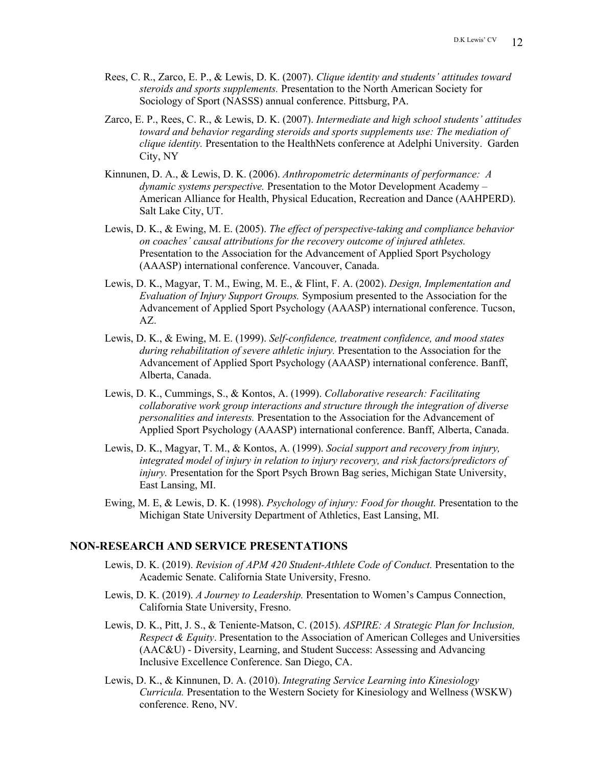- Rees, C. R., Zarco, E. P., & Lewis, D. K. (2007). *Clique identity and students' attitudes toward steroids and sports supplements.* Presentation to the North American Society for Sociology of Sport (NASSS) annual conference. Pittsburg, PA.
- Zarco, E. P., Rees, C. R., & Lewis, D. K. (2007). *Intermediate and high school students' attitudes toward and behavior regarding steroids and sports supplements use: The mediation of clique identity.* Presentation to the HealthNets conference at Adelphi University. Garden City, NY
- Kinnunen, D. A., & Lewis, D. K. (2006). *Anthropometric determinants of performance: A dynamic systems perspective.* Presentation to the Motor Development Academy – American Alliance for Health, Physical Education, Recreation and Dance (AAHPERD). Salt Lake City, UT.
- Lewis, D. K., & Ewing, M. E. (2005). *The effect of perspective-taking and compliance behavior on coaches' causal attributions for the recovery outcome of injured athletes.* Presentation to the Association for the Advancement of Applied Sport Psychology (AAASP) international conference. Vancouver, Canada.
- Lewis, D. K., Magyar, T. M., Ewing, M. E., & Flint, F. A. (2002). *Design, Implementation and Evaluation of Injury Support Groups.* Symposium presented to the Association for the Advancement of Applied Sport Psychology (AAASP) international conference. Tucson, AZ.
- Lewis, D. K., & Ewing, M. E. (1999). *Self-confidence, treatment confidence, and mood states during rehabilitation of severe athletic injury.* Presentation to the Association for the Advancement of Applied Sport Psychology (AAASP) international conference. Banff, Alberta, Canada.
- Lewis, D. K., Cummings, S., & Kontos, A. (1999). *Collaborative research: Facilitating collaborative work group interactions and structure through the integration of diverse personalities and interests.* Presentation to the Association for the Advancement of Applied Sport Psychology (AAASP) international conference. Banff, Alberta, Canada.
- Lewis, D. K., Magyar, T. M., & Kontos, A. (1999). *Social support and recovery from injury, integrated model of injury in relation to injury recovery, and risk factors/predictors of injury.* Presentation for the Sport Psych Brown Bag series, Michigan State University, East Lansing, MI.
- Ewing, M. E, & Lewis, D. K. (1998). *Psychology of injury: Food for thought.* Presentation to the Michigan State University Department of Athletics, East Lansing, MI.

#### **NON-RESEARCH AND SERVICE PRESENTATIONS**

- Lewis, D. K. (2019). *Revision of APM 420 Student-Athlete Code of Conduct.* Presentation to the Academic Senate. California State University, Fresno.
- Lewis, D. K. (2019). *A Journey to Leadership.* Presentation to Women's Campus Connection, California State University, Fresno.
- Lewis, D. K., Pitt, J. S., & Teniente-Matson, C. (2015). *ASPIRE: A Strategic Plan for Inclusion, Respect & Equity*. Presentation to the Association of American Colleges and Universities (AAC&U) - Diversity, Learning, and Student Success: Assessing and Advancing Inclusive Excellence Conference. San Diego, CA.
- Lewis, D. K., & Kinnunen, D. A. (2010). *Integrating Service Learning into Kinesiology Curricula.* Presentation to the Western Society for Kinesiology and Wellness (WSKW) conference. Reno, NV.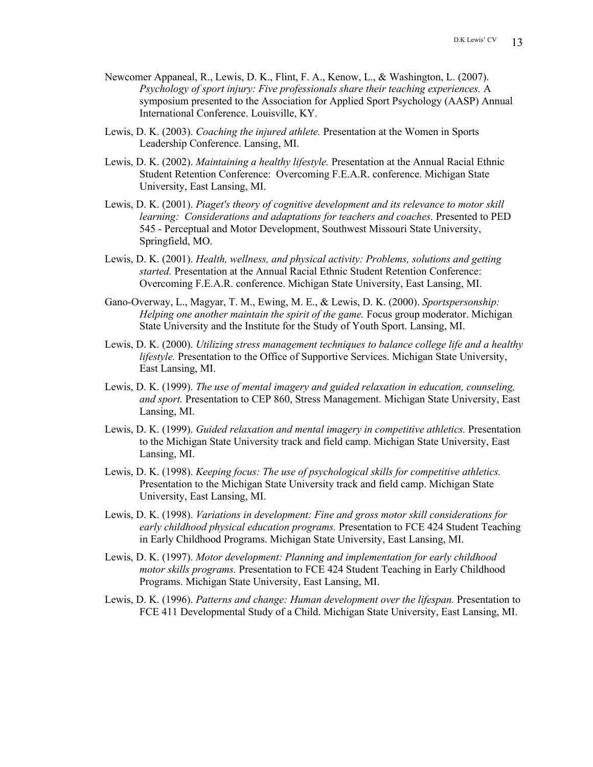- Newcomer Appaneal, R., Lewis, D. K., Flint, F. A., Kenow, L., & Washington, L. (2007). *Psychology of sport injury: Five professionals share their teaching experiences.* A symposium presented to the Association for Applied Sport Psychology (AASP) Annual International Conference. Louisville, KY.
- Lewis, D. K. (2003). *Coaching the injured athlete.* Presentation at the Women in Sports Leadership Conference. Lansing, MI.
- Lewis, D. K. (2002). *Maintaining a healthy lifestyle.* Presentation at the Annual Racial Ethnic Student Retention Conference: Overcoming F.E.A.R. conference. Michigan State University, East Lansing, MI.
- Lewis, D. K. (2001). *Piaget's theory of cognitive development and its relevance to motor skill learning: Considerations and adaptations for teachers and coaches.* Presented to PED 545 - Perceptual and Motor Development, Southwest Missouri State University, Springfield, MO.
- Lewis, D. K. (2001). *Health, wellness, and physical activity: Problems, solutions and getting started.* Presentation at the Annual Racial Ethnic Student Retention Conference: Overcoming F.E.A.R. conference. Michigan State University, East Lansing, MI.
- Gano-Overway, L., Magyar, T. M., Ewing, M. E., & Lewis, D. K. (2000). *Sportspersonship: Helping one another maintain the spirit of the game.* Focus group moderator. Michigan State University and the Institute for the Study of Youth Sport. Lansing, MI.
- Lewis, D. K. (2000). *Utilizing stress management techniques to balance college life and a healthy lifestyle.* Presentation to the Office of Supportive Services. Michigan State University, East Lansing, MI.
- Lewis, D. K. (1999). *The use of mental imagery and guided relaxation in education, counseling, and sport.* Presentation to CEP 860, Stress Management. Michigan State University, East Lansing, MI.
- Lewis, D. K. (1999). *Guided relaxation and mental imagery in competitive athletics.* Presentation to the Michigan State University track and field camp. Michigan State University, East Lansing, MI.
- Lewis, D. K. (1998). *Keeping focus: The use of psychological skills for competitive athletics.* Presentation to the Michigan State University track and field camp. Michigan State University, East Lansing, MI.
- Lewis, D. K. (1998). *Variations in development: Fine and gross motor skill considerations for early childhood physical education programs.* Presentation to FCE 424 Student Teaching in Early Childhood Programs. Michigan State University, East Lansing, MI.
- Lewis, D. K. (1997). *Motor development: Planning and implementation for early childhood motor skills programs.* Presentation to FCE 424 Student Teaching in Early Childhood Programs. Michigan State University, East Lansing, MI.
- Lewis, D. K. (1996). *Patterns and change: Human development over the lifespan.* Presentation to FCE 411 Developmental Study of a Child. Michigan State University, East Lansing, MI.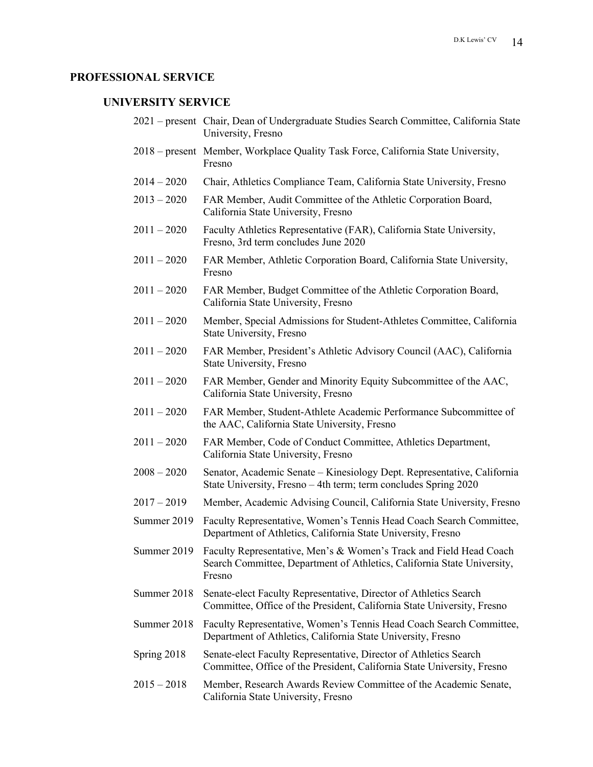# **PROFESSIONAL SERVICE**

# **UNIVERSITY SERVICE**

|               | 2021 – present Chair, Dean of Undergraduate Studies Search Committee, California State<br>University, Fresno                                                        |
|---------------|---------------------------------------------------------------------------------------------------------------------------------------------------------------------|
|               | 2018 – present Member, Workplace Quality Task Force, California State University,<br>Fresno                                                                         |
| $2014 - 2020$ | Chair, Athletics Compliance Team, California State University, Fresno                                                                                               |
| $2013 - 2020$ | FAR Member, Audit Committee of the Athletic Corporation Board,<br>California State University, Fresno                                                               |
| $2011 - 2020$ | Faculty Athletics Representative (FAR), California State University,<br>Fresno, 3rd term concludes June 2020                                                        |
| $2011 - 2020$ | FAR Member, Athletic Corporation Board, California State University,<br>Fresno                                                                                      |
| $2011 - 2020$ | FAR Member, Budget Committee of the Athletic Corporation Board,<br>California State University, Fresno                                                              |
| $2011 - 2020$ | Member, Special Admissions for Student-Athletes Committee, California<br>State University, Fresno                                                                   |
| $2011 - 2020$ | FAR Member, President's Athletic Advisory Council (AAC), California<br>State University, Fresno                                                                     |
| $2011 - 2020$ | FAR Member, Gender and Minority Equity Subcommittee of the AAC,<br>California State University, Fresno                                                              |
| $2011 - 2020$ | FAR Member, Student-Athlete Academic Performance Subcommittee of<br>the AAC, California State University, Fresno                                                    |
| $2011 - 2020$ | FAR Member, Code of Conduct Committee, Athletics Department,<br>California State University, Fresno                                                                 |
| $2008 - 2020$ | Senator, Academic Senate - Kinesiology Dept. Representative, California<br>State University, Fresno - 4th term; term concludes Spring 2020                          |
| $2017 - 2019$ | Member, Academic Advising Council, California State University, Fresno                                                                                              |
| Summer 2019   | Faculty Representative, Women's Tennis Head Coach Search Committee,<br>Department of Athletics, California State University, Fresno                                 |
|               | Summer 2019 Faculty Representative, Men's & Women's Track and Field Head Coach<br>Search Committee, Department of Athletics, California State University,<br>Fresno |
| Summer 2018   | Senate-elect Faculty Representative, Director of Athletics Search<br>Committee, Office of the President, California State University, Fresno                        |
| Summer 2018   | Faculty Representative, Women's Tennis Head Coach Search Committee,<br>Department of Athletics, California State University, Fresno                                 |
| Spring 2018   | Senate-elect Faculty Representative, Director of Athletics Search<br>Committee, Office of the President, California State University, Fresno                        |
| $2015 - 2018$ | Member, Research Awards Review Committee of the Academic Senate,<br>California State University, Fresno                                                             |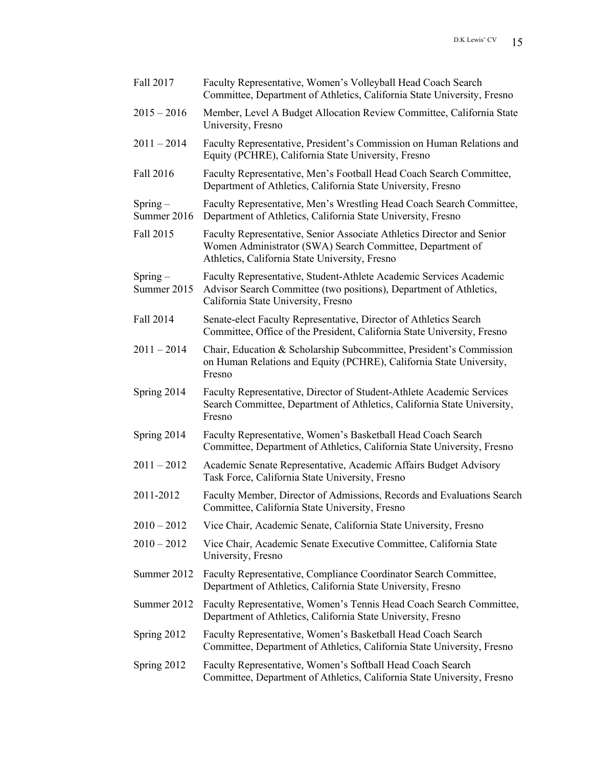| Fall 2017                 | Faculty Representative, Women's Volleyball Head Coach Search<br>Committee, Department of Athletics, California State University, Fresno                                               |
|---------------------------|---------------------------------------------------------------------------------------------------------------------------------------------------------------------------------------|
| $2015 - 2016$             | Member, Level A Budget Allocation Review Committee, California State<br>University, Fresno                                                                                            |
| $2011 - 2014$             | Faculty Representative, President's Commission on Human Relations and<br>Equity (PCHRE), California State University, Fresno                                                          |
| Fall 2016                 | Faculty Representative, Men's Football Head Coach Search Committee,<br>Department of Athletics, California State University, Fresno                                                   |
| $Spring-$<br>Summer 2016  | Faculty Representative, Men's Wrestling Head Coach Search Committee,<br>Department of Athletics, California State University, Fresno                                                  |
| Fall 2015                 | Faculty Representative, Senior Associate Athletics Director and Senior<br>Women Administrator (SWA) Search Committee, Department of<br>Athletics, California State University, Fresno |
| $Spring -$<br>Summer 2015 | Faculty Representative, Student-Athlete Academic Services Academic<br>Advisor Search Committee (two positions), Department of Athletics,<br>California State University, Fresno       |
| Fall 2014                 | Senate-elect Faculty Representative, Director of Athletics Search<br>Committee, Office of the President, California State University, Fresno                                          |
| $2011 - 2014$             | Chair, Education & Scholarship Subcommittee, President's Commission<br>on Human Relations and Equity (PCHRE), California State University,<br>Fresno                                  |
| Spring 2014               | Faculty Representative, Director of Student-Athlete Academic Services<br>Search Committee, Department of Athletics, California State University,<br>Fresno                            |
| Spring 2014               | Faculty Representative, Women's Basketball Head Coach Search<br>Committee, Department of Athletics, California State University, Fresno                                               |
| $2011 - 2012$             | Academic Senate Representative, Academic Affairs Budget Advisory<br>Task Force, California State University, Fresno                                                                   |
| 2011-2012                 | Faculty Member, Director of Admissions, Records and Evaluations Search<br>Committee, California State University, Fresno                                                              |
| $2010 - 2012$             | Vice Chair, Academic Senate, California State University, Fresno                                                                                                                      |
| $2010 - 2012$             | Vice Chair, Academic Senate Executive Committee, California State<br>University, Fresno                                                                                               |
| Summer 2012               | Faculty Representative, Compliance Coordinator Search Committee,<br>Department of Athletics, California State University, Fresno                                                      |
| Summer 2012               | Faculty Representative, Women's Tennis Head Coach Search Committee,<br>Department of Athletics, California State University, Fresno                                                   |
| Spring 2012               | Faculty Representative, Women's Basketball Head Coach Search<br>Committee, Department of Athletics, California State University, Fresno                                               |
| Spring 2012               | Faculty Representative, Women's Softball Head Coach Search<br>Committee, Department of Athletics, California State University, Fresno                                                 |
|                           |                                                                                                                                                                                       |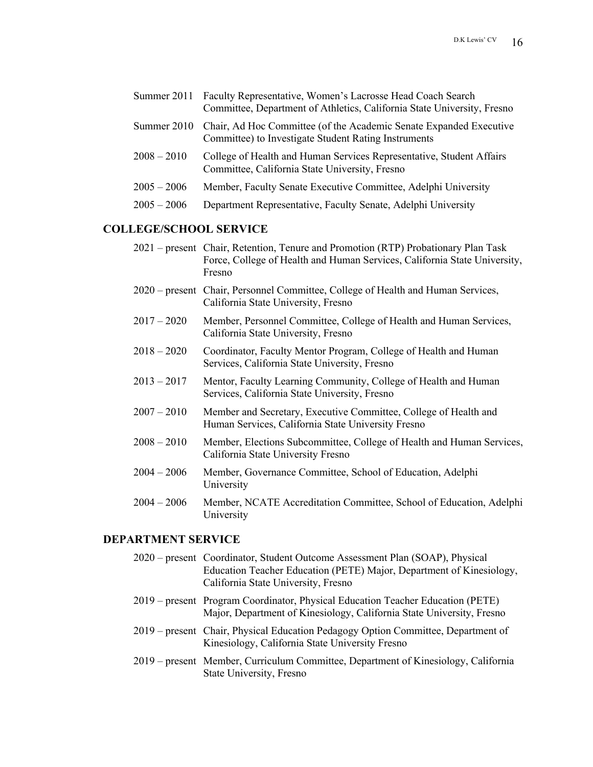|               | Summer 2011 Faculty Representative, Women's Lacrosse Head Coach Search<br>Committee, Department of Athletics, California State University, Fresno |
|---------------|---------------------------------------------------------------------------------------------------------------------------------------------------|
| Summer 2010   | Chair, Ad Hoc Committee (of the Academic Senate Expanded Executive<br>Committee) to Investigate Student Rating Instruments                        |
| $2008 - 2010$ | College of Health and Human Services Representative, Student Affairs<br>Committee, California State University, Fresno                            |
| $2005 - 2006$ | Member, Faculty Senate Executive Committee, Adelphi University                                                                                    |
| $2005 - 2006$ | Department Representative, Faculty Senate, Adelphi University                                                                                     |
|               |                                                                                                                                                   |

# **COLLEGE/SCHOOL SERVICE**

|               | 2021 – present Chair, Retention, Tenure and Promotion (RTP) Probationary Plan Task<br>Force, College of Health and Human Services, California State University,<br>Fresno |
|---------------|---------------------------------------------------------------------------------------------------------------------------------------------------------------------------|
|               | 2020 – present Chair, Personnel Committee, College of Health and Human Services,<br>California State University, Fresno                                                   |
| $2017 - 2020$ | Member, Personnel Committee, College of Health and Human Services,<br>California State University, Fresno                                                                 |
| $2018 - 2020$ | Coordinator, Faculty Mentor Program, College of Health and Human<br>Services, California State University, Fresno                                                         |
| $2013 - 2017$ | Mentor, Faculty Learning Community, College of Health and Human<br>Services, California State University, Fresno                                                          |
| $2007 - 2010$ | Member and Secretary, Executive Committee, College of Health and<br>Human Services, California State University Fresno                                                    |
| $2008 - 2010$ | Member, Elections Subcommittee, College of Health and Human Services,<br>California State University Fresno                                                               |
| $2004 - 2006$ | Member, Governance Committee, School of Education, Adelphi<br>University                                                                                                  |
| $2004 - 2006$ | Member, NCATE Accreditation Committee, School of Education, Adelphi<br>University                                                                                         |
|               |                                                                                                                                                                           |

# **DEPARTMENT SERVICE**

| 2020 – present Coordinator, Student Outcome Assessment Plan (SOAP), Physical<br>Education Teacher Education (PETE) Major, Department of Kinesiology,<br>California State University, Fresno |
|---------------------------------------------------------------------------------------------------------------------------------------------------------------------------------------------|
| 2019 – present Program Coordinator, Physical Education Teacher Education (PETE)<br>Major, Department of Kinesiology, California State University, Fresno                                    |
| 2019 – present Chair, Physical Education Pedagogy Option Committee, Department of<br>Kinesiology, California State University Fresno                                                        |
| 2019 – present Member, Curriculum Committee, Department of Kinesiology, California<br>State University, Fresno                                                                              |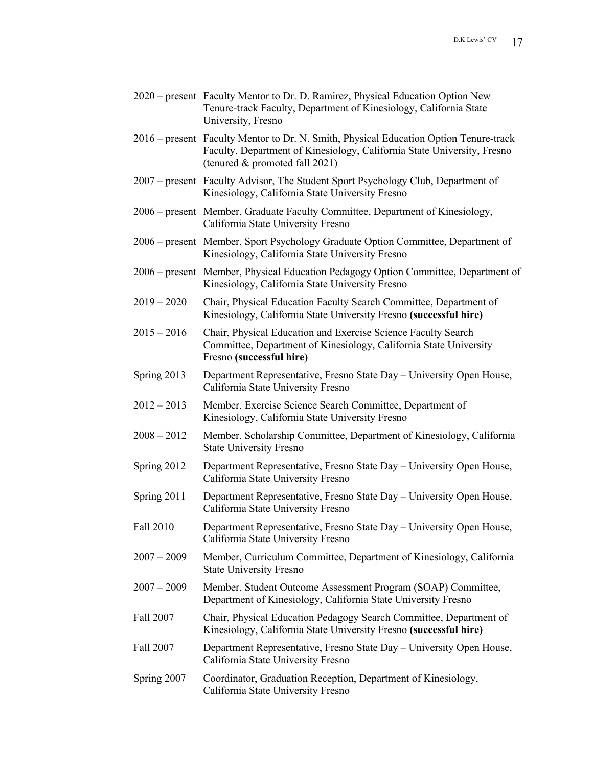- 2020 present Faculty Mentor to Dr. D. Ramirez, Physical Education Option New Tenure-track Faculty, Department of Kinesiology, California State University, Fresno
- 2016 present Faculty Mentor to Dr. N. Smith, Physical Education Option Tenure-track Faculty, Department of Kinesiology, California State University, Fresno (tenured & promoted fall 2021)
- 2007 present Faculty Advisor, The Student Sport Psychology Club, Department of Kinesiology, California State University Fresno
- 2006 present Member, Graduate Faculty Committee, Department of Kinesiology, California State University Fresno
- 2006 present Member, Sport Psychology Graduate Option Committee, Department of Kinesiology, California State University Fresno
- 2006 present Member, Physical Education Pedagogy Option Committee, Department of Kinesiology, California State University Fresno
- 2019 2020 Chair, Physical Education Faculty Search Committee, Department of Kinesiology, California State University Fresno **(successful hire)**
- 2015 2016 Chair, Physical Education and Exercise Science Faculty Search Committee, Department of Kinesiology, California State University Fresno **(successful hire)**
- Spring 2013 Department Representative, Fresno State Day University Open House, California State University Fresno
- 2012 2013 Member, Exercise Science Search Committee, Department of Kinesiology, California State University Fresno
- 2008 2012 Member, Scholarship Committee, Department of Kinesiology, California State University Fresno
- Spring 2012 Department Representative, Fresno State Day University Open House, California State University Fresno
- Spring 2011 Department Representative, Fresno State Day University Open House, California State University Fresno
- Fall 2010 Department Representative, Fresno State Day University Open House, California State University Fresno
- 2007 2009 Member, Curriculum Committee, Department of Kinesiology, California State University Fresno
- 2007 2009 Member, Student Outcome Assessment Program (SOAP) Committee, Department of Kinesiology, California State University Fresno
- Fall 2007 Chair, Physical Education Pedagogy Search Committee, Department of Kinesiology, California State University Fresno **(successful hire)**
- Fall 2007 Department Representative, Fresno State Day University Open House, California State University Fresno
- Spring 2007 Coordinator, Graduation Reception, Department of Kinesiology, California State University Fresno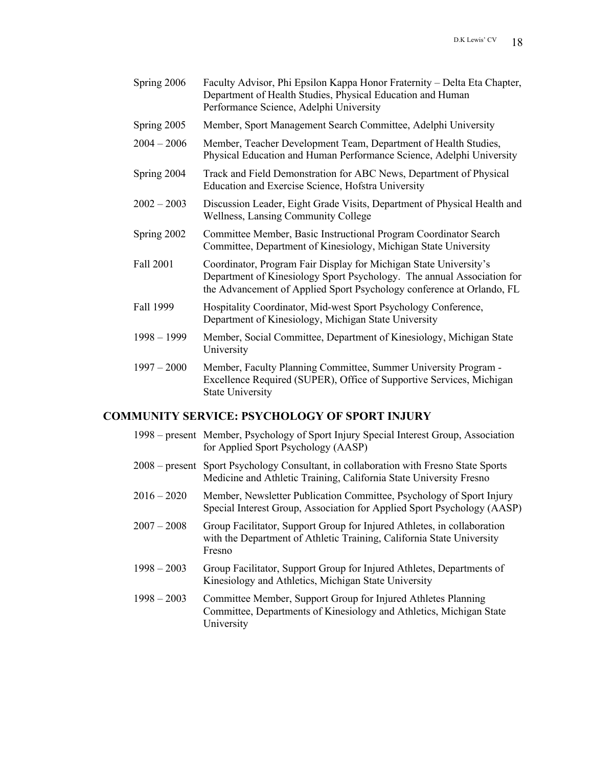| Spring 2006 | Faculty Advisor, Phi Epsilon Kappa Honor Fraternity - Delta Eta Chapter, |
|-------------|--------------------------------------------------------------------------|
|             | Department of Health Studies, Physical Education and Human               |
|             | Performance Science, Adelphi University                                  |

- Spring 2005 Member, Sport Management Search Committee, Adelphi University
- 2004 2006 Member, Teacher Development Team, Department of Health Studies, Physical Education and Human Performance Science, Adelphi University
- Spring 2004 Track and Field Demonstration for ABC News, Department of Physical Education and Exercise Science, Hofstra University
- 2002 2003 Discussion Leader, Eight Grade Visits, Department of Physical Health and Wellness, Lansing Community College
- Spring 2002 Committee Member, Basic Instructional Program Coordinator Search Committee, Department of Kinesiology, Michigan State University
- Fall 2001 Coordinator, Program Fair Display for Michigan State University's Department of Kinesiology Sport Psychology. The annual Association for the Advancement of Applied Sport Psychology conference at Orlando, FL
- Fall 1999 Hospitality Coordinator, Mid-west Sport Psychology Conference, Department of Kinesiology, Michigan State University
- 1998 1999 Member, Social Committee, Department of Kinesiology, Michigan State University
- 1997 2000 Member, Faculty Planning Committee, Summer University Program Excellence Required (SUPER), Office of Supportive Services, Michigan State University

### **COMMUNITY SERVICE: PSYCHOLOGY OF SPORT INJURY**

|               | 1998 – present Member, Psychology of Sport Injury Special Interest Group, Association<br>for Applied Sport Psychology (AASP)                                |
|---------------|-------------------------------------------------------------------------------------------------------------------------------------------------------------|
|               | 2008 – present Sport Psychology Consultant, in collaboration with Fresno State Sports<br>Medicine and Athletic Training, California State University Fresno |
| $2016 - 2020$ | Member, Newsletter Publication Committee, Psychology of Sport Injury<br>Special Interest Group, Association for Applied Sport Psychology (AASP)             |
| $2007 - 2008$ | Group Facilitator, Support Group for Injured Athletes, in collaboration<br>with the Department of Athletic Training, California State University<br>Fresno  |
| $1998 - 2003$ | Group Facilitator, Support Group for Injured Athletes, Departments of<br>Kinesiology and Athletics, Michigan State University                               |
| $1998 - 2003$ | Committee Member, Support Group for Injured Athletes Planning<br>Committee, Departments of Kinesiology and Athletics, Michigan State<br>University          |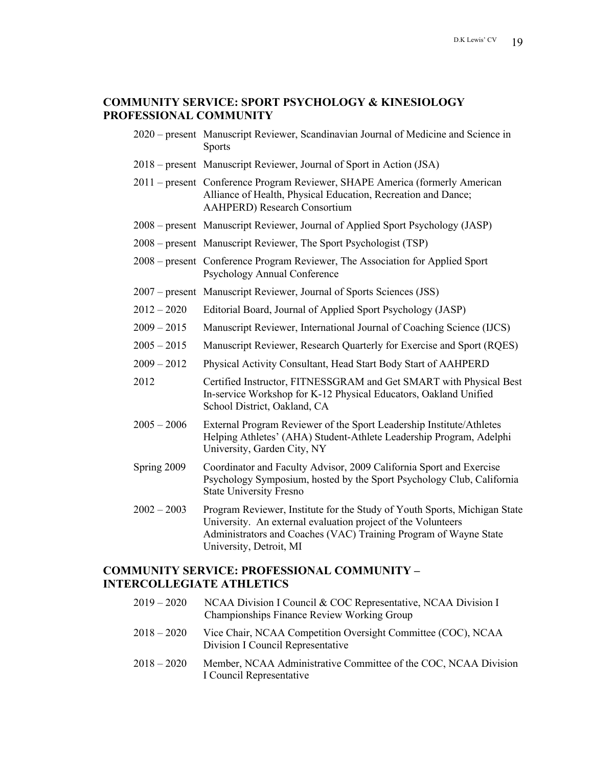### **COMMUNITY SERVICE: SPORT PSYCHOLOGY & KINESIOLOGY PROFESSIONAL COMMUNITY**

- 2020 present Manuscript Reviewer, Scandinavian Journal of Medicine and Science in Sports
- 2018 present Manuscript Reviewer, Journal of Sport in Action (JSA)
- 2011 present Conference Program Reviewer, SHAPE America (formerly American Alliance of Health, Physical Education, Recreation and Dance; AAHPERD) Research Consortium
- 2008 present Manuscript Reviewer, Journal of Applied Sport Psychology (JASP)
- 2008 present Manuscript Reviewer, The Sport Psychologist (TSP)
- 2008 present Conference Program Reviewer, The Association for Applied Sport Psychology Annual Conference
- 2007 present Manuscript Reviewer, Journal of Sports Sciences (JSS)
- 2012 2020 Editorial Board, Journal of Applied Sport Psychology (JASP)
- 2009 2015 Manuscript Reviewer, International Journal of Coaching Science (IJCS)
- 2005 2015 Manuscript Reviewer, Research Quarterly for Exercise and Sport (RQES)
- 2009 2012 Physical Activity Consultant, Head Start Body Start of AAHPERD
- 2012 Certified Instructor, FITNESSGRAM and Get SMART with Physical Best In-service Workshop for K-12 Physical Educators, Oakland Unified School District, Oakland, CA
- 2005 2006 External Program Reviewer of the Sport Leadership Institute/Athletes Helping Athletes' (AHA) Student-Athlete Leadership Program, Adelphi University, Garden City, NY
- Spring 2009 Coordinator and Faculty Advisor, 2009 California Sport and Exercise Psychology Symposium, hosted by the Sport Psychology Club, California State University Fresno
- 2002 2003 Program Reviewer, Institute for the Study of Youth Sports, Michigan State University. An external evaluation project of the Volunteers Administrators and Coaches (VAC) Training Program of Wayne State University, Detroit, MI

### **COMMUNITY SERVICE: PROFESSIONAL COMMUNITY – INTERCOLLEGIATE ATHLETICS**

| $2019 - 2020$ | NCAA Division I Council & COC Representative, NCAA Division I<br><b>Championships Finance Review Working Group</b> |
|---------------|--------------------------------------------------------------------------------------------------------------------|
| $2018 - 2020$ | Vice Chair, NCAA Competition Oversight Committee (COC), NCAA<br>Division I Council Representative                  |
| $2018 - 2020$ | Member, NCAA Administrative Committee of the COC, NCAA Division<br>I Council Representative                        |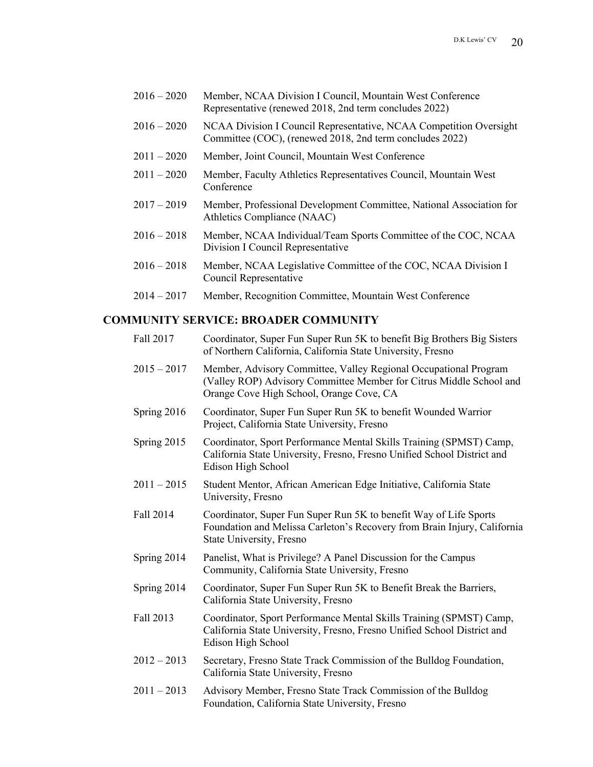| $2016 - 2020$ | Member, NCAA Division I Council, Mountain West Conference |
|---------------|-----------------------------------------------------------|
|               | Representative (renewed 2018, 2nd term concludes 2022)    |

- 2016 2020 NCAA Division I Council Representative, NCAA Competition Oversight Committee (COC), (renewed 2018, 2nd term concludes 2022)
- 2011 2020 Member, Joint Council, Mountain West Conference
- 2011 2020 Member, Faculty Athletics Representatives Council, Mountain West Conference
- 2017 2019 Member, Professional Development Committee, National Association for Athletics Compliance (NAAC)
- 2016 2018 Member, NCAA Individual/Team Sports Committee of the COC, NCAA Division I Council Representative
- 2016 2018 Member, NCAA Legislative Committee of the COC, NCAA Division I Council Representative
- 2014 2017 Member, Recognition Committee, Mountain West Conference

## **COMMUNITY SERVICE: BROADER COMMUNITY**

| Fall 2017     | Coordinator, Super Fun Super Run 5K to benefit Big Brothers Big Sisters<br>of Northern California, California State University, Fresno                                              |
|---------------|-------------------------------------------------------------------------------------------------------------------------------------------------------------------------------------|
| $2015 - 2017$ | Member, Advisory Committee, Valley Regional Occupational Program<br>(Valley ROP) Advisory Committee Member for Citrus Middle School and<br>Orange Cove High School, Orange Cove, CA |
| Spring 2016   | Coordinator, Super Fun Super Run 5K to benefit Wounded Warrior<br>Project, California State University, Fresno                                                                      |
| Spring 2015   | Coordinator, Sport Performance Mental Skills Training (SPMST) Camp,<br>California State University, Fresno, Fresno Unified School District and<br>Edison High School                |
| $2011 - 2015$ | Student Mentor, African American Edge Initiative, California State<br>University, Fresno                                                                                            |
| Fall 2014     | Coordinator, Super Fun Super Run 5K to benefit Way of Life Sports<br>Foundation and Melissa Carleton's Recovery from Brain Injury, California<br>State University, Fresno           |
| Spring 2014   | Panelist, What is Privilege? A Panel Discussion for the Campus<br>Community, California State University, Fresno                                                                    |
| Spring 2014   | Coordinator, Super Fun Super Run 5K to Benefit Break the Barriers,<br>California State University, Fresno                                                                           |
| Fall 2013     | Coordinator, Sport Performance Mental Skills Training (SPMST) Camp,<br>California State University, Fresno, Fresno Unified School District and<br>Edison High School                |
| $2012 - 2013$ | Secretary, Fresno State Track Commission of the Bulldog Foundation,<br>California State University, Fresno                                                                          |
| $2011 - 2013$ | Advisory Member, Fresno State Track Commission of the Bulldog<br>Foundation, California State University, Fresno                                                                    |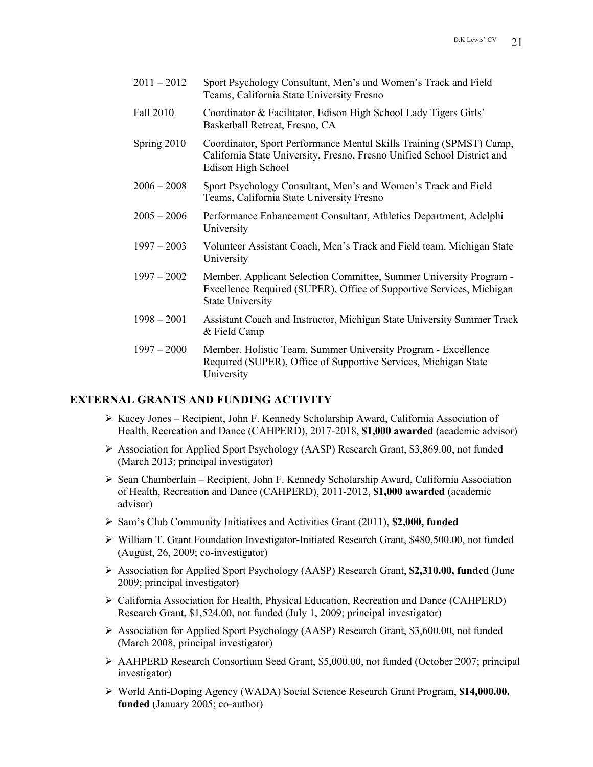- 2011 2012 Sport Psychology Consultant, Men's and Women's Track and Field Teams, California State University Fresno
- Fall 2010 Coordinator & Facilitator, Edison High School Lady Tigers Girls' Basketball Retreat, Fresno, CA
- Spring 2010 Coordinator, Sport Performance Mental Skills Training (SPMST) Camp, California State University, Fresno, Fresno Unified School District and Edison High School
- 2006 2008 Sport Psychology Consultant, Men's and Women's Track and Field Teams, California State University Fresno
- 2005 2006 Performance Enhancement Consultant, Athletics Department, Adelphi University
- 1997 2003 Volunteer Assistant Coach, Men's Track and Field team, Michigan State University
- 1997 2002 Member, Applicant Selection Committee, Summer University Program Excellence Required (SUPER), Office of Supportive Services, Michigan State University
- 1998 2001 Assistant Coach and Instructor, Michigan State University Summer Track & Field Camp
- 1997 2000 Member, Holistic Team, Summer University Program Excellence Required (SUPER), Office of Supportive Services, Michigan State University

### **EXTERNAL GRANTS AND FUNDING ACTIVITY**

- $\triangleright$  Kacey Jones Recipient, John F. Kennedy Scholarship Award, California Association of Health, Recreation and Dance (CAHPERD), 2017-2018, **\$1,000 awarded** (academic advisor)
- Ø Association for Applied Sport Psychology (AASP) Research Grant, \$3,869.00, not funded (March 2013; principal investigator)
- Ø Sean Chamberlain Recipient, John F. Kennedy Scholarship Award, California Association of Health, Recreation and Dance (CAHPERD), 2011-2012, **\$1,000 awarded** (academic advisor)
- Ø Sam's Club Community Initiatives and Activities Grant (2011), **\$2,000, funded**
- Ø William T. Grant Foundation Investigator-Initiated Research Grant, \$480,500.00, not funded (August, 26, 2009; co-investigator)
- Ø Association for Applied Sport Psychology (AASP) Research Grant, **\$2,310.00, funded** (June 2009; principal investigator)
- $\triangleright$  California Association for Health, Physical Education, Recreation and Dance (CAHPERD) Research Grant, \$1,524.00, not funded (July 1, 2009; principal investigator)
- Ø Association for Applied Sport Psychology (AASP) Research Grant, \$3,600.00, not funded (March 2008, principal investigator)
- Ø AAHPERD Research Consortium Seed Grant, \$5,000.00, not funded (October 2007; principal investigator)
- Ø World Anti-Doping Agency (WADA) Social Science Research Grant Program, **\$14,000.00, funded** (January 2005; co-author)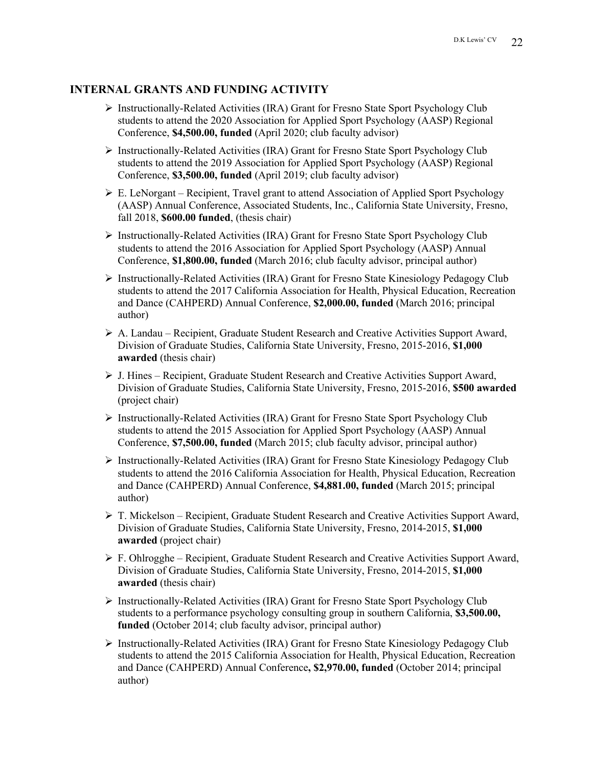### **INTERNAL GRANTS AND FUNDING ACTIVITY**

- $\triangleright$  Instructionally-Related Activities (IRA) Grant for Fresno State Sport Psychology Club students to attend the 2020 Association for Applied Sport Psychology (AASP) Regional Conference, **\$4,500.00, funded** (April 2020; club faculty advisor)
- $\triangleright$  Instructionally-Related Activities (IRA) Grant for Fresno State Sport Psychology Club students to attend the 2019 Association for Applied Sport Psychology (AASP) Regional Conference, **\$3,500.00, funded** (April 2019; club faculty advisor)
- $\triangleright$  E. LeNorgant Recipient, Travel grant to attend Association of Applied Sport Psychology (AASP) Annual Conference, Associated Students, Inc., California State University, Fresno, fall 2018, **\$600.00 funded**, (thesis chair)
- $\triangleright$  Instructionally-Related Activities (IRA) Grant for Fresno State Sport Psychology Club students to attend the 2016 Association for Applied Sport Psychology (AASP) Annual Conference, **\$1,800.00, funded** (March 2016; club faculty advisor, principal author)
- $\triangleright$  Instructionally-Related Activities (IRA) Grant for Fresno State Kinesiology Pedagogy Club students to attend the 2017 California Association for Health, Physical Education, Recreation and Dance (CAHPERD) Annual Conference, **\$2,000.00, funded** (March 2016; principal author)
- $\triangleright$  A. Landau Recipient, Graduate Student Research and Creative Activities Support Award, Division of Graduate Studies, California State University, Fresno, 2015-2016, **\$1,000 awarded** (thesis chair)
- $\triangleright$  J. Hines Recipient, Graduate Student Research and Creative Activities Support Award, Division of Graduate Studies, California State University, Fresno, 2015-2016, **\$500 awarded** (project chair)
- $\triangleright$  Instructionally-Related Activities (IRA) Grant for Fresno State Sport Psychology Club students to attend the 2015 Association for Applied Sport Psychology (AASP) Annual Conference, **\$7,500.00, funded** (March 2015; club faculty advisor, principal author)
- $\triangleright$  Instructionally-Related Activities (IRA) Grant for Fresno State Kinesiology Pedagogy Club students to attend the 2016 California Association for Health, Physical Education, Recreation and Dance (CAHPERD) Annual Conference, **\$4,881.00, funded** (March 2015; principal author)
- $\triangleright$  T. Mickelson Recipient, Graduate Student Research and Creative Activities Support Award, Division of Graduate Studies, California State University, Fresno, 2014-2015, **\$1,000 awarded** (project chair)
- $\triangleright$  F. Ohlrogghe Recipient, Graduate Student Research and Creative Activities Support Award, Division of Graduate Studies, California State University, Fresno, 2014-2015, **\$1,000 awarded** (thesis chair)
- $\triangleright$  Instructionally-Related Activities (IRA) Grant for Fresno State Sport Psychology Club students to a performance psychology consulting group in southern California, **\$3,500.00, funded** (October 2014; club faculty advisor, principal author)
- $\triangleright$  Instructionally-Related Activities (IRA) Grant for Fresno State Kinesiology Pedagogy Club students to attend the 2015 California Association for Health, Physical Education, Recreation and Dance (CAHPERD) Annual Conference**, \$2,970.00, funded** (October 2014; principal author)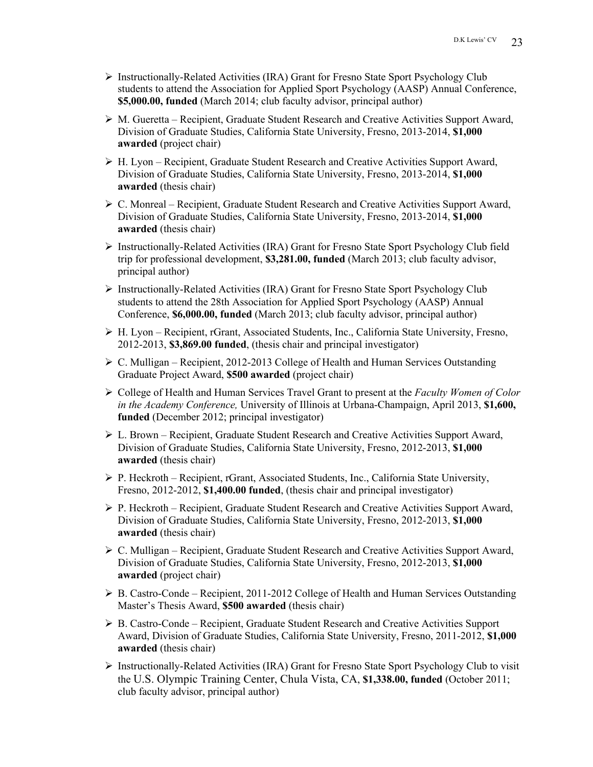- Ø Instructionally-Related Activities (IRA) Grant for Fresno State Sport Psychology Club students to attend the Association for Applied Sport Psychology (AASP) Annual Conference, **\$5,000.00, funded** (March 2014; club faculty advisor, principal author)
- Ø M. Gueretta Recipient, Graduate Student Research and Creative Activities Support Award, Division of Graduate Studies, California State University, Fresno, 2013-2014, **\$1,000 awarded** (project chair)
- $\triangleright$  H. Lyon Recipient, Graduate Student Research and Creative Activities Support Award, Division of Graduate Studies, California State University, Fresno, 2013-2014, **\$1,000 awarded** (thesis chair)
- Ø C. Monreal Recipient, Graduate Student Research and Creative Activities Support Award, Division of Graduate Studies, California State University, Fresno, 2013-2014, **\$1,000 awarded** (thesis chair)
- $\triangleright$  Instructionally-Related Activities (IRA) Grant for Fresno State Sport Psychology Club field trip for professional development, **\$3,281.00, funded** (March 2013; club faculty advisor, principal author)
- $\triangleright$  Instructionally-Related Activities (IRA) Grant for Fresno State Sport Psychology Club students to attend the 28th Association for Applied Sport Psychology (AASP) Annual Conference, **\$6,000.00, funded** (March 2013; club faculty advisor, principal author)
- $\triangleright$  H. Lyon Recipient, rGrant, Associated Students, Inc., California State University, Fresno, 2012-2013, **\$3,869.00 funded**, (thesis chair and principal investigator)
- $\triangleright$  C. Mulligan Recipient, 2012-2013 College of Health and Human Services Outstanding Graduate Project Award, **\$500 awarded** (project chair)
- Ø College of Health and Human Services Travel Grant to present at the *Faculty Women of Color in the Academy Conference,* University of Illinois at Urbana-Champaign, April 2013, **\$1,600, funded** (December 2012; principal investigator)
- Ø L. Brown Recipient, Graduate Student Research and Creative Activities Support Award, Division of Graduate Studies, California State University, Fresno, 2012-2013, **\$1,000 awarded** (thesis chair)
- $\triangleright$  P. Heckroth Recipient, rGrant, Associated Students, Inc., California State University, Fresno, 2012-2012, **\$1,400.00 funded**, (thesis chair and principal investigator)
- Ø P. Heckroth Recipient, Graduate Student Research and Creative Activities Support Award, Division of Graduate Studies, California State University, Fresno, 2012-2013, **\$1,000 awarded** (thesis chair)
- Ø C. Mulligan Recipient, Graduate Student Research and Creative Activities Support Award, Division of Graduate Studies, California State University, Fresno, 2012-2013, **\$1,000 awarded** (project chair)
- Ø B. Castro-Conde Recipient, 2011-2012 College of Health and Human Services Outstanding Master's Thesis Award, **\$500 awarded** (thesis chair)
- Ø B. Castro-Conde Recipient, Graduate Student Research and Creative Activities Support Award, Division of Graduate Studies, California State University, Fresno, 2011-2012, **\$1,000 awarded** (thesis chair)
- Ø Instructionally-Related Activities (IRA) Grant for Fresno State Sport Psychology Club to visit the U.S. Olympic Training Center, Chula Vista, CA, **\$1,338.00, funded** (October 2011; club faculty advisor, principal author)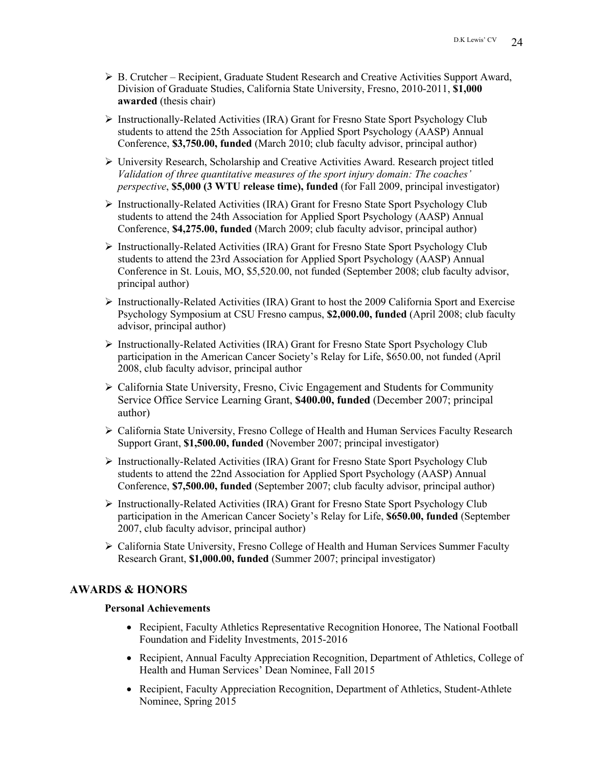- Ø B. Crutcher Recipient, Graduate Student Research and Creative Activities Support Award, Division of Graduate Studies, California State University, Fresno, 2010-2011, **\$1,000 awarded** (thesis chair)
- $\triangleright$  Instructionally-Related Activities (IRA) Grant for Fresno State Sport Psychology Club students to attend the 25th Association for Applied Sport Psychology (AASP) Annual Conference, **\$3,750.00, funded** (March 2010; club faculty advisor, principal author)
- Ø University Research, Scholarship and Creative Activities Award. Research project titled *Validation of three quantitative measures of the sport injury domain: The coaches' perspective*, **\$5,000 (3 WTU release time), funded** (for Fall 2009, principal investigator)
- $\triangleright$  Instructionally-Related Activities (IRA) Grant for Fresno State Sport Psychology Club students to attend the 24th Association for Applied Sport Psychology (AASP) Annual Conference, **\$4,275.00, funded** (March 2009; club faculty advisor, principal author)
- $\triangleright$  Instructionally-Related Activities (IRA) Grant for Fresno State Sport Psychology Club students to attend the 23rd Association for Applied Sport Psychology (AASP) Annual Conference in St. Louis, MO, \$5,520.00, not funded (September 2008; club faculty advisor, principal author)
- $\triangleright$  Instructionally-Related Activities (IRA) Grant to host the 2009 California Sport and Exercise Psychology Symposium at CSU Fresno campus, **\$2,000.00, funded** (April 2008; club faculty advisor, principal author)
- $\triangleright$  Instructionally-Related Activities (IRA) Grant for Fresno State Sport Psychology Club participation in the American Cancer Society's Relay for Life, \$650.00, not funded (April 2008, club faculty advisor, principal author
- Ø California State University, Fresno, Civic Engagement and Students for Community Service Office Service Learning Grant, **\$400.00, funded** (December 2007; principal author)
- Ø California State University, Fresno College of Health and Human Services Faculty Research Support Grant, **\$1,500.00, funded** (November 2007; principal investigator)
- Ø Instructionally-Related Activities (IRA) Grant for Fresno State Sport Psychology Club students to attend the 22nd Association for Applied Sport Psychology (AASP) Annual Conference, **\$7,500.00, funded** (September 2007; club faculty advisor, principal author)
- Ø Instructionally-Related Activities (IRA) Grant for Fresno State Sport Psychology Club participation in the American Cancer Society's Relay for Life, **\$650.00, funded** (September 2007, club faculty advisor, principal author)
- Ø California State University, Fresno College of Health and Human Services Summer Faculty Research Grant, **\$1,000.00, funded** (Summer 2007; principal investigator)

# **AWARDS & HONORS**

### **Personal Achievements**

- Recipient, Faculty Athletics Representative Recognition Honoree, The National Football Foundation and Fidelity Investments, 2015-2016
- Recipient, Annual Faculty Appreciation Recognition, Department of Athletics, College of Health and Human Services' Dean Nominee, Fall 2015
- Recipient, Faculty Appreciation Recognition, Department of Athletics, Student-Athlete Nominee, Spring 2015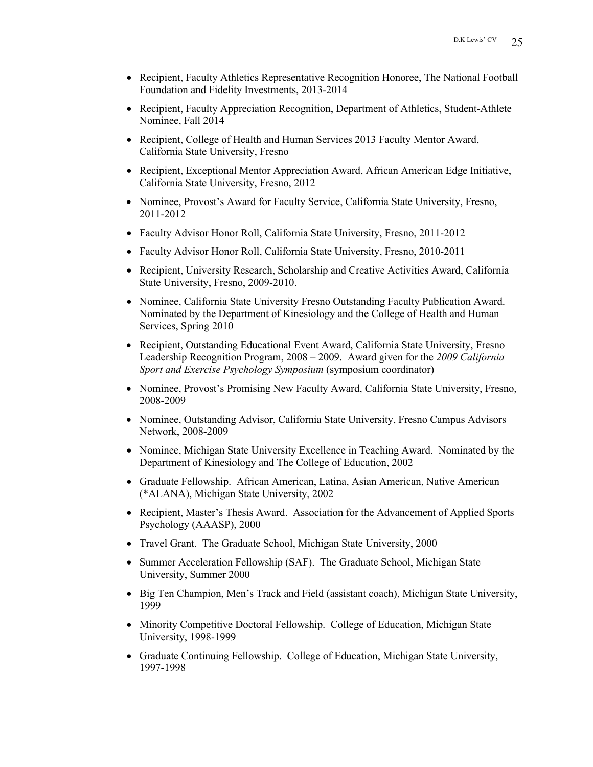- Recipient, Faculty Athletics Representative Recognition Honoree, The National Football Foundation and Fidelity Investments, 2013-2014
- Recipient, Faculty Appreciation Recognition, Department of Athletics, Student-Athlete Nominee, Fall 2014
- Recipient, College of Health and Human Services 2013 Faculty Mentor Award, California State University, Fresno
- Recipient, Exceptional Mentor Appreciation Award, African American Edge Initiative, California State University, Fresno, 2012
- Nominee, Provost's Award for Faculty Service, California State University, Fresno, 2011-2012
- Faculty Advisor Honor Roll, California State University, Fresno, 2011-2012
- Faculty Advisor Honor Roll, California State University, Fresno, 2010-2011
- Recipient, University Research, Scholarship and Creative Activities Award, California State University, Fresno, 2009-2010.
- Nominee, California State University Fresno Outstanding Faculty Publication Award. Nominated by the Department of Kinesiology and the College of Health and Human Services, Spring 2010
- Recipient, Outstanding Educational Event Award, California State University, Fresno Leadership Recognition Program, 2008 – 2009. Award given for the *2009 California Sport and Exercise Psychology Symposium* (symposium coordinator)
- Nominee, Provost's Promising New Faculty Award, California State University, Fresno, 2008-2009
- Nominee, Outstanding Advisor, California State University, Fresno Campus Advisors Network, 2008-2009
- Nominee, Michigan State University Excellence in Teaching Award. Nominated by the Department of Kinesiology and The College of Education, 2002
- Graduate Fellowship. African American, Latina, Asian American, Native American (\*ALANA), Michigan State University, 2002
- Recipient, Master's Thesis Award. Association for the Advancement of Applied Sports Psychology (AAASP), 2000
- Travel Grant. The Graduate School, Michigan State University, 2000
- Summer Acceleration Fellowship (SAF). The Graduate School, Michigan State University, Summer 2000
- Big Ten Champion, Men's Track and Field (assistant coach), Michigan State University, 1999
- Minority Competitive Doctoral Fellowship. College of Education, Michigan State University, 1998-1999
- Graduate Continuing Fellowship. College of Education, Michigan State University, 1997-1998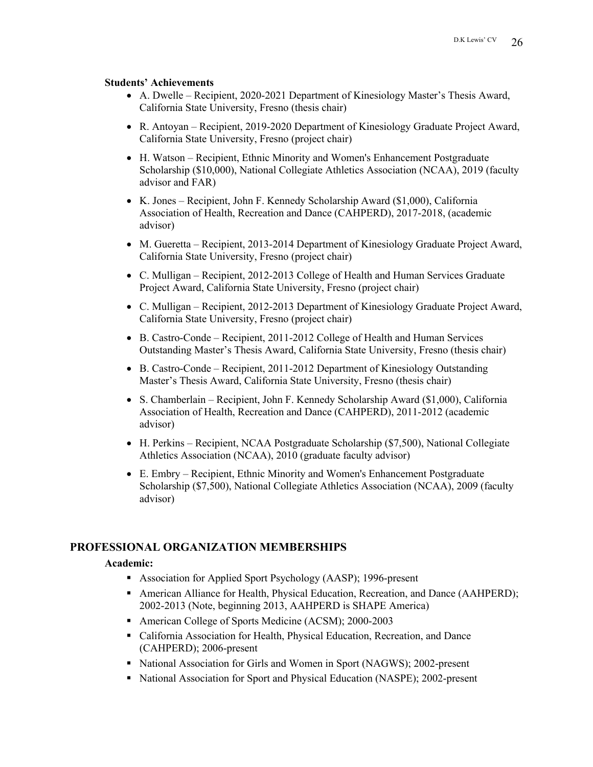#### **Students' Achievements**

- A. Dwelle Recipient, 2020-2021 Department of Kinesiology Master's Thesis Award, California State University, Fresno (thesis chair)
- R. Antoyan Recipient, 2019-2020 Department of Kinesiology Graduate Project Award, California State University, Fresno (project chair)
- H. Watson Recipient, Ethnic Minority and Women's Enhancement Postgraduate Scholarship (\$10,000), National Collegiate Athletics Association (NCAA), 2019 (faculty advisor and FAR)
- K. Jones Recipient, John F. Kennedy Scholarship Award (\$1,000), California Association of Health, Recreation and Dance (CAHPERD), 2017-2018, (academic advisor)
- M. Gueretta Recipient, 2013-2014 Department of Kinesiology Graduate Project Award, California State University, Fresno (project chair)
- C. Mulligan Recipient, 2012-2013 College of Health and Human Services Graduate Project Award, California State University, Fresno (project chair)
- C. Mulligan Recipient, 2012-2013 Department of Kinesiology Graduate Project Award, California State University, Fresno (project chair)
- B. Castro-Conde Recipient, 2011-2012 College of Health and Human Services Outstanding Master's Thesis Award, California State University, Fresno (thesis chair)
- B. Castro-Conde Recipient, 2011-2012 Department of Kinesiology Outstanding Master's Thesis Award, California State University, Fresno (thesis chair)
- S. Chamberlain Recipient, John F. Kennedy Scholarship Award (\$1,000), California Association of Health, Recreation and Dance (CAHPERD), 2011-2012 (academic advisor)
- H. Perkins Recipient, NCAA Postgraduate Scholarship (\$7,500), National Collegiate Athletics Association (NCAA), 2010 (graduate faculty advisor)
- E. Embry Recipient, Ethnic Minority and Women's Enhancement Postgraduate Scholarship (\$7,500), National Collegiate Athletics Association (NCAA), 2009 (faculty advisor)

### **PROFESSIONAL ORGANIZATION MEMBERSHIPS**

#### **Academic:**

- Association for Applied Sport Psychology (AASP); 1996-present
- American Alliance for Health, Physical Education, Recreation, and Dance (AAHPERD); 2002-2013 (Note, beginning 2013, AAHPERD is SHAPE America)
- American College of Sports Medicine (ACSM); 2000-2003
- California Association for Health, Physical Education, Recreation, and Dance (CAHPERD); 2006-present
- National Association for Girls and Women in Sport (NAGWS); 2002-present
- National Association for Sport and Physical Education (NASPE); 2002-present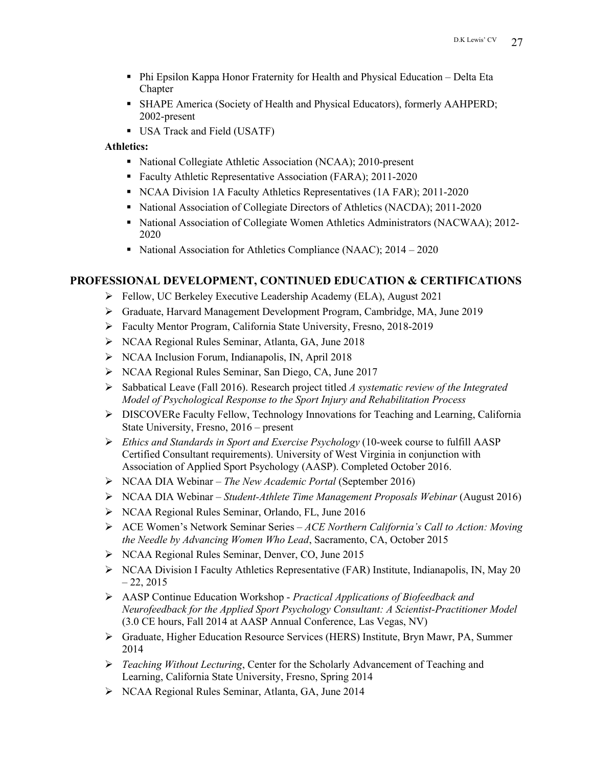- Phi Epsilon Kappa Honor Fraternity for Health and Physical Education Delta Eta Chapter
- § SHAPE America (Society of Health and Physical Educators), formerly AAHPERD; 2002-present
- § USA Track and Field (USATF)

### **Athletics:**

- National Collegiate Athletic Association (NCAA); 2010-present
- Faculty Athletic Representative Association (FARA); 2011-2020
- § NCAA Division 1A Faculty Athletics Representatives (1A FAR); 2011-2020
- National Association of Collegiate Directors of Athletics (NACDA); 2011-2020
- National Association of Collegiate Women Athletics Administrators (NACWAA); 2012-2020
- National Association for Athletics Compliance (NAAC); 2014 2020

### **PROFESSIONAL DEVELOPMENT, CONTINUED EDUCATION & CERTIFICATIONS**

- Ø Fellow, UC Berkeley Executive Leadership Academy (ELA), August 2021
- Ø Graduate, Harvard Management Development Program, Cambridge, MA, June 2019
- Ø Faculty Mentor Program, California State University, Fresno, 2018-2019
- Ø NCAA Regional Rules Seminar, Atlanta, GA, June 2018
- Ø NCAA Inclusion Forum, Indianapolis, IN, April 2018
- Ø NCAA Regional Rules Seminar, San Diego, CA, June 2017
- Ø Sabbatical Leave (Fall 2016). Research project titled *A systematic review of the Integrated Model of Psychological Response to the Sport Injury and Rehabilitation Process*
- $\triangleright$  DISCOVERe Faculty Fellow, Technology Innovations for Teaching and Learning, California State University, Fresno, 2016 – present
- Ø *Ethics and Standards in Sport and Exercise Psychology* (10-week course to fulfill AASP Certified Consultant requirements). University of West Virginia in conjunction with Association of Applied Sport Psychology (AASP). Completed October 2016.
- Ø NCAA DIA Webinar *The New Academic Portal* (September 2016)
- Ø NCAA DIA Webinar *Student-Athlete Time Management Proposals Webinar* (August 2016)
- Ø NCAA Regional Rules Seminar, Orlando, FL, June 2016
- Ø ACE Women's Network Seminar Series *ACE Northern California's Call to Action: Moving the Needle by Advancing Women Who Lead*, Sacramento, CA, October 2015
- Ø NCAA Regional Rules Seminar, Denver, CO, June 2015
- $\triangleright$  NCAA Division I Faculty Athletics Representative (FAR) Institute, Indianapolis, IN, May 20  $-22, 2015$
- Ø AASP Continue Education Workshop *Practical Applications of Biofeedback and Neurofeedback for the Applied Sport Psychology Consultant: A Scientist-Practitioner Model*  (3.0 CE hours, Fall 2014 at AASP Annual Conference, Las Vegas, NV)
- Ø Graduate, Higher Education Resource Services (HERS) Institute, Bryn Mawr, PA, Summer 2014
- Ø *Teaching Without Lecturing*, Center for the Scholarly Advancement of Teaching and Learning, California State University, Fresno, Spring 2014
- Ø NCAA Regional Rules Seminar, Atlanta, GA, June 2014